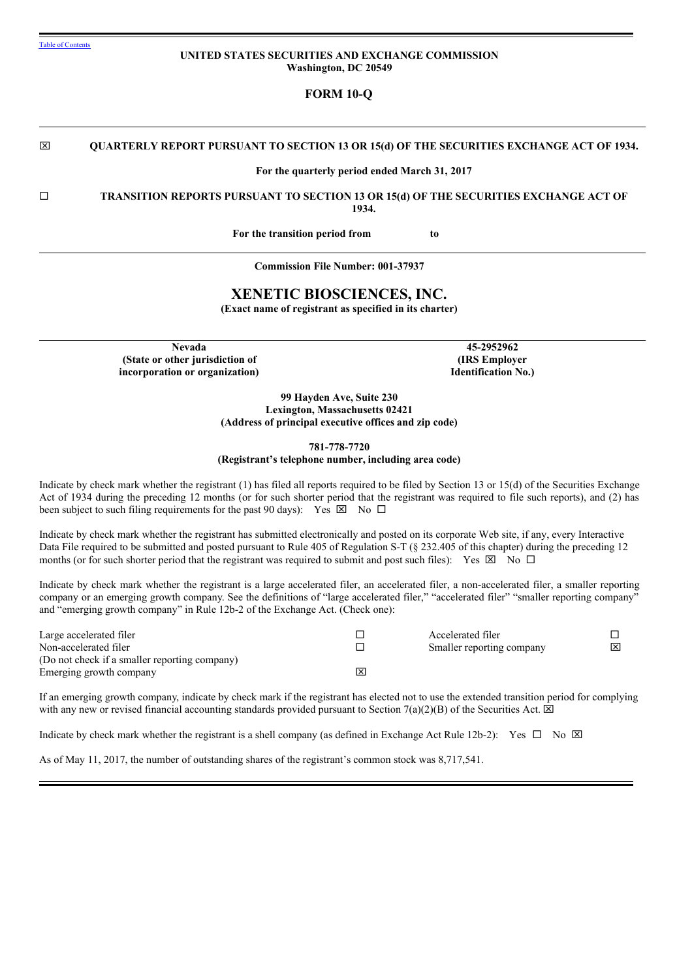## **UNITED STATES SECURITIES AND EXCHANGE COMMISSION Washington, DC 20549**

**FORM 10-Q**

# x **QUARTERLY REPORT PURSUANT TO SECTION 13 OR 15(d) OF THE SECURITIES EXCHANGE ACT OF 1934. For the quarterly period ended March 31, 2017** ¨ **TRANSITION REPORTS PURSUANT TO SECTION 13 OR 15(d) OF THE SECURITIES EXCHANGE ACT OF 1934.**

**For the transition period from to**

**Commission File Number: 001-37937**

# **XENETIC BIOSCIENCES, INC.**

**(Exact name of registrant as specified in its charter)**

**Nevada (State or other jurisdiction of incorporation or organization)**

**45-2952962 (IRS Employer Identification No.)**

**99 Hayden Ave, Suite 230 Lexington, Massachusetts 02421 (Address of principal executive offices and zip code)**

**781-778-7720**

#### **(Registrant's telephone number, including area code)**

Indicate by check mark whether the registrant (1) has filed all reports required to be filed by Section 13 or 15(d) of the Securities Exchange Act of 1934 during the preceding 12 months (or for such shorter period that the registrant was required to file such reports), and (2) has been subject to such filing requirements for the past 90 days): Yes  $\boxtimes$  No  $\Box$ 

Indicate by check mark whether the registrant has submitted electronically and posted on its corporate Web site, if any, every Interactive Data File required to be submitted and posted pursuant to Rule 405 of Regulation S-T (§ 232.405 of this chapter) during the preceding 12 months (or for such shorter period that the registrant was required to submit and post such files): Yes  $\boxtimes$  No  $\Box$ 

Indicate by check mark whether the registrant is a large accelerated filer, an accelerated filer, a non-accelerated filer, a smaller reporting company or an emerging growth company. See the definitions of "large accelerated filer," "accelerated filer" "smaller reporting company" and "emerging growth company" in Rule 12b-2 of the Exchange Act. (Check one):

| Large accelerated filer                       |                         | Accelerated filer         |   |
|-----------------------------------------------|-------------------------|---------------------------|---|
| Non-accelerated filer                         |                         | Smaller reporting company | X |
| (Do not check if a smaller reporting company) |                         |                           |   |
| Emerging growth company                       | $\overline{\mathsf{x}}$ |                           |   |

If an emerging growth company, indicate by check mark if the registrant has elected not to use the extended transition period for complying with any new or revised financial accounting standards provided pursuant to Section 7(a)(2)(B) of the Securities Act.  $\boxtimes$ 

Indicate by check mark whether the registrant is a shell company (as defined in Exchange Act Rule 12b-2): Yes  $\Box$  No  $\boxtimes$ 

As of May 11, 2017, the number of outstanding shares of the registrant's common stock was 8,717,541.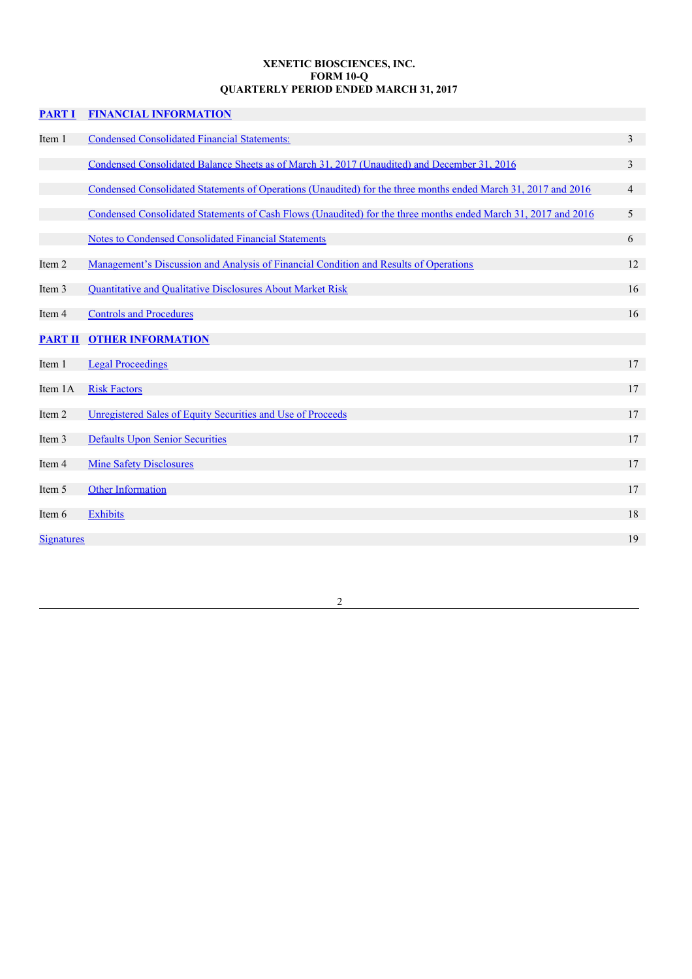## **XENETIC BIOSCIENCES, INC. FORM 10-Q QUARTERLY PERIOD ENDED MARCH 31, 2017**

| <b>PART I</b>     | <b>FINANCIAL INFORMATION</b>                                                                                   |                |
|-------------------|----------------------------------------------------------------------------------------------------------------|----------------|
| Item 1            | <b>Condensed Consolidated Financial Statements:</b>                                                            | 3              |
|                   | Condensed Consolidated Balance Sheets as of March 31, 2017 (Unaudited) and December 31, 2016                   | $\overline{3}$ |
|                   | Condensed Consolidated Statements of Operations (Unaudited) for the three months ended March 31, 2017 and 2016 | 4              |
|                   | Condensed Consolidated Statements of Cash Flows (Unaudited) for the three months ended March 31, 2017 and 2016 | 5              |
|                   | <b>Notes to Condensed Consolidated Financial Statements</b>                                                    | 6              |
| Item <sub>2</sub> | Management's Discussion and Analysis of Financial Condition and Results of Operations                          | 12             |
| Item 3            | Quantitative and Qualitative Disclosures About Market Risk                                                     | 16             |
| Item 4            | <b>Controls and Procedures</b>                                                                                 | 16             |
| <b>PART II</b>    | <b>OTHER INFORMATION</b>                                                                                       |                |
| Item 1            | <b>Legal Proceedings</b>                                                                                       | 17             |
| Item 1A           | <b>Risk Factors</b>                                                                                            | 17             |
| Item 2            | Unregistered Sales of Equity Securities and Use of Proceeds                                                    | 17             |
| Item 3            | <b>Defaults Upon Senior Securities</b>                                                                         | 17             |
| Item 4            | <b>Mine Safety Disclosures</b>                                                                                 | 17             |
| Item 5            | <b>Other Information</b>                                                                                       | 17             |
| Item 6            | <b>Exhibits</b>                                                                                                | 18             |
| <b>Signatures</b> |                                                                                                                | 19             |

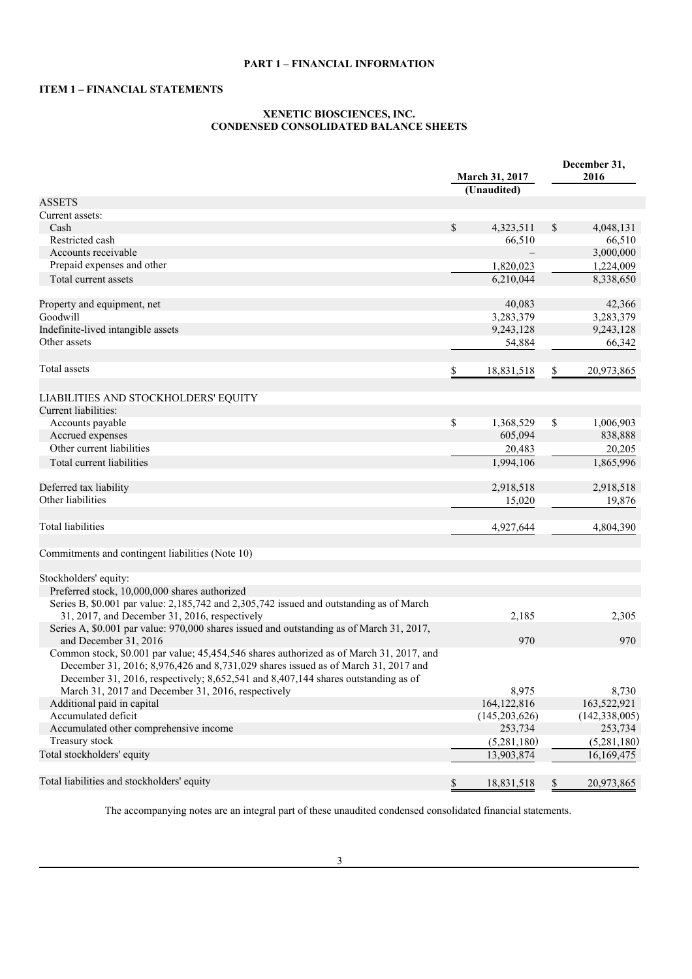# **PART 1 – FINANCIAL INFORMATION**

# **ITEM 1 – FINANCIAL STATEMENTS**

## **XENETIC BIOSCIENCES, INC. CONDENSED CONSOLIDATED BALANCE SHEETS**

|                                                                                          |                                      | December 31,<br>2016 |                 |  |
|------------------------------------------------------------------------------------------|--------------------------------------|----------------------|-----------------|--|
|                                                                                          | <b>March 31, 2017</b><br>(Unaudited) |                      |                 |  |
| <b>ASSETS</b>                                                                            |                                      |                      |                 |  |
| Current assets:                                                                          |                                      |                      |                 |  |
| Cash                                                                                     | \$<br>4,323,511                      | \$                   | 4,048,131       |  |
| Restricted cash                                                                          | 66,510                               |                      | 66,510          |  |
| Accounts receivable                                                                      |                                      |                      | 3,000,000       |  |
| Prepaid expenses and other                                                               | 1,820,023                            |                      | 1,224,009       |  |
| Total current assets                                                                     | 6,210,044                            |                      | 8,338,650       |  |
|                                                                                          |                                      |                      |                 |  |
| Property and equipment, net                                                              | 40,083                               |                      | 42,366          |  |
| Goodwill                                                                                 | 3,283,379                            |                      | 3,283,379       |  |
| Indefinite-lived intangible assets                                                       | 9,243,128                            |                      | 9,243,128       |  |
| Other assets                                                                             | 54,884                               |                      | 66,342          |  |
|                                                                                          |                                      |                      |                 |  |
| Total assets                                                                             | \$<br>18,831,518                     | \$                   | 20,973,865      |  |
|                                                                                          |                                      |                      |                 |  |
| LIABILITIES AND STOCKHOLDERS' EQUITY                                                     |                                      |                      |                 |  |
| Current liabilities:                                                                     |                                      |                      |                 |  |
| Accounts payable                                                                         | \$<br>1,368,529                      | \$                   | 1,006,903       |  |
| Accrued expenses                                                                         | 605,094                              |                      | 838,888         |  |
| Other current liabilities                                                                | 20,483                               |                      | 20,205          |  |
| Total current liabilities                                                                | 1,994,106                            |                      | 1,865,996       |  |
|                                                                                          |                                      |                      |                 |  |
| Deferred tax liability                                                                   | 2,918,518                            |                      | 2,918,518       |  |
| Other liabilities                                                                        | 15,020                               |                      | 19,876          |  |
|                                                                                          |                                      |                      |                 |  |
| Total liabilities                                                                        | 4,927,644                            |                      | 4,804,390       |  |
|                                                                                          |                                      |                      |                 |  |
| Commitments and contingent liabilities (Note 10)                                         |                                      |                      |                 |  |
|                                                                                          |                                      |                      |                 |  |
| Stockholders' equity:                                                                    |                                      |                      |                 |  |
| Preferred stock, 10,000,000 shares authorized                                            |                                      |                      |                 |  |
| Series B, \$0.001 par value: 2,185,742 and 2,305,742 issued and outstanding as of March  |                                      |                      |                 |  |
| 31, 2017, and December 31, 2016, respectively                                            | 2,185                                |                      | 2,305           |  |
| Series A, \$0.001 par value: 970,000 shares issued and outstanding as of March 31, 2017, |                                      |                      |                 |  |
| and December 31, 2016                                                                    | 970                                  |                      | 970             |  |
| Common stock, \$0.001 par value; 45,454,546 shares authorized as of March 31, 2017, and  |                                      |                      |                 |  |
| December 31, 2016; 8,976,426 and 8,731,029 shares issued as of March 31, 2017 and        |                                      |                      |                 |  |
| December 31, 2016, respectively; 8,652,541 and 8,407,144 shares outstanding as of        |                                      |                      |                 |  |
| March 31, 2017 and December 31, 2016, respectively                                       | 8,975                                |                      | 8,730           |  |
| Additional paid in capital                                                               | 164,122,816                          |                      | 163,522,921     |  |
| Accumulated deficit                                                                      | (145, 203, 626)                      |                      | (142, 338, 005) |  |
| Accumulated other comprehensive income                                                   | 253,734                              |                      | 253,734         |  |
| Treasury stock                                                                           | (5,281,180)                          |                      | (5,281,180)     |  |
| Total stockholders' equity                                                               | 13,903,874                           |                      | 16,169,475      |  |
|                                                                                          |                                      |                      |                 |  |
| Total liabilities and stockholders' equity                                               | \$<br>18,831,518                     | $\mathbb{S}$         | 20,973,865      |  |

The accompanying notes are an integral part of these unaudited condensed consolidated financial statements.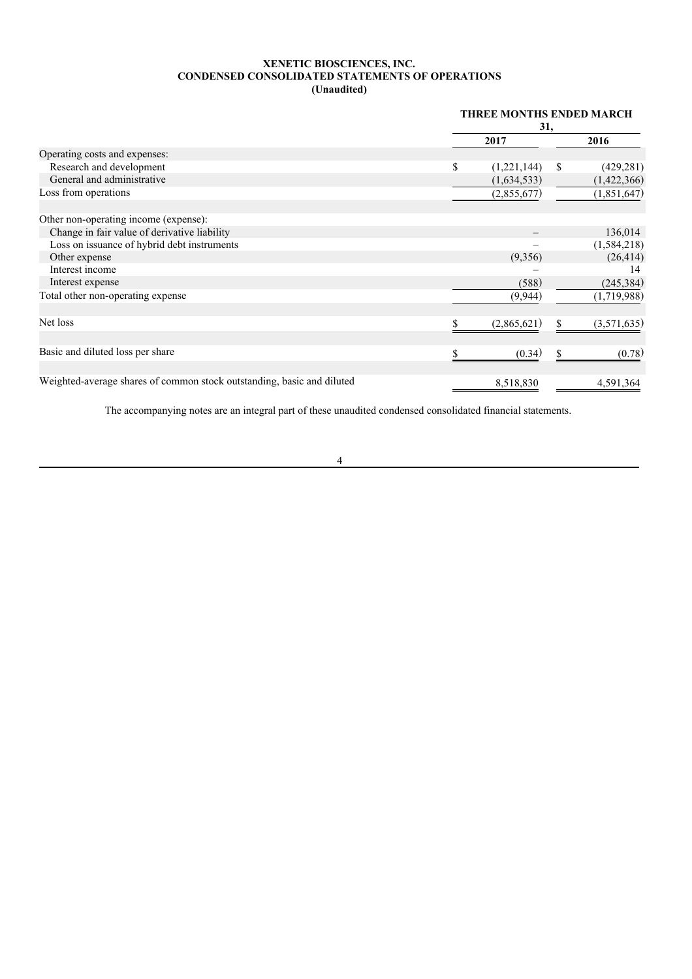## **XENETIC BIOSCIENCES, INC. CONDENSED CONSOLIDATED STATEMENTS OF OPERATIONS (Unaudited)**

|                                                                        | THREE MONTHS ENDED MARCH<br>31, |             |     |               |  |
|------------------------------------------------------------------------|---------------------------------|-------------|-----|---------------|--|
|                                                                        |                                 | 2017        |     | 2016          |  |
| Operating costs and expenses:                                          |                                 |             |     |               |  |
| Research and development                                               | \$                              | (1,221,144) | \$  | (429, 281)    |  |
| General and administrative                                             |                                 | (1,634,533) |     | (1,422,366)   |  |
| Loss from operations                                                   |                                 | (2,855,677) |     | (1,851,647)   |  |
| Other non-operating income (expense):                                  |                                 |             |     |               |  |
| Change in fair value of derivative liability                           |                                 |             |     | 136,014       |  |
| Loss on issuance of hybrid debt instruments                            |                                 |             |     | (1, 584, 218) |  |
| Other expense                                                          |                                 | (9,356)     |     | (26, 414)     |  |
| Interest income                                                        |                                 |             |     | 14            |  |
| Interest expense                                                       |                                 | (588)       |     | (245, 384)    |  |
| Total other non-operating expense                                      |                                 | (9, 944)    |     | (1,719,988)   |  |
| Net loss                                                               |                                 | (2,865,621) | \$. | (3,571,635)   |  |
| Basic and diluted loss per share                                       |                                 | (0.34)      |     | (0.78)        |  |
| Weighted-average shares of common stock outstanding, basic and diluted |                                 | 8,518,830   |     | 4,591,364     |  |

The accompanying notes are an integral part of these unaudited condensed consolidated financial statements.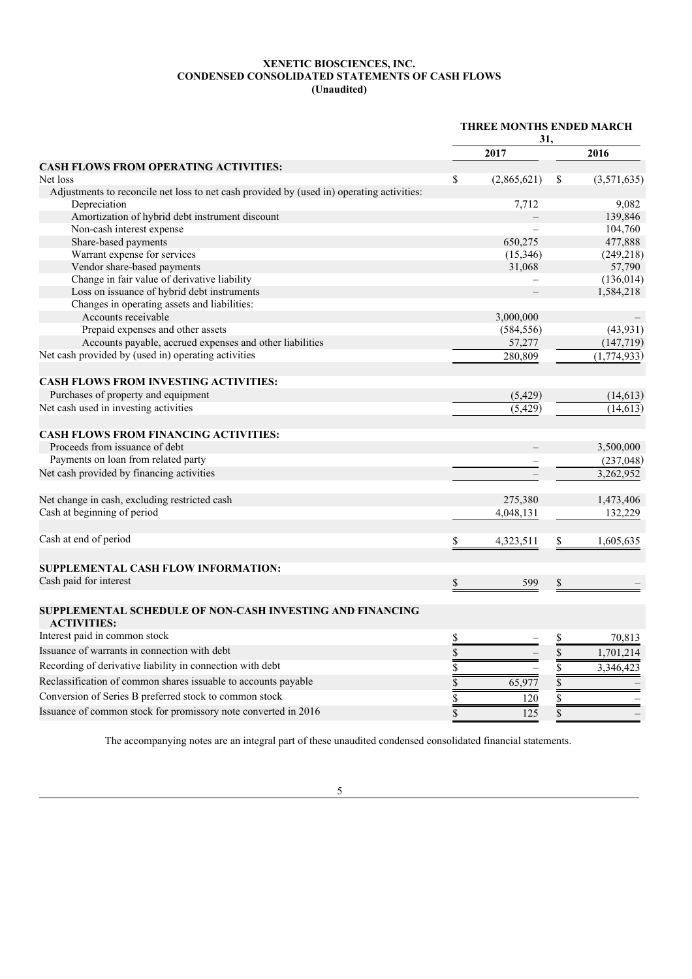## **XENETIC BIOSCIENCES, INC. CONDENSED CONSOLIDATED STATEMENTS OF CASH FLOWS (Unaudited)**

|                                                                                           | <b>THREE MONTHS ENDED MARCH</b><br>31, |             |                  |             |  |
|-------------------------------------------------------------------------------------------|----------------------------------------|-------------|------------------|-------------|--|
|                                                                                           |                                        | 2017        |                  | 2016        |  |
| <b>CASH FLOWS FROM OPERATING ACTIVITIES:</b>                                              |                                        |             |                  |             |  |
| Net loss                                                                                  | \$                                     | (2,865,621) | \$               | (3,571,635) |  |
| Adjustments to reconcile net loss to net cash provided by (used in) operating activities: |                                        |             |                  |             |  |
| Depreciation                                                                              |                                        | 7,712       |                  | 9,082       |  |
| Amortization of hybrid debt instrument discount                                           |                                        |             |                  | 139,846     |  |
| Non-cash interest expense                                                                 |                                        |             |                  | 104,760     |  |
| Share-based payments                                                                      |                                        | 650,275     |                  | 477,888     |  |
| Warrant expense for services                                                              |                                        | (15,346)    |                  | (249, 218)  |  |
| Vendor share-based payments                                                               |                                        | 31,068      |                  | 57,790      |  |
| Change in fair value of derivative liability                                              |                                        |             |                  | (136, 014)  |  |
| Loss on issuance of hybrid debt instruments                                               |                                        |             |                  | 1,584,218   |  |
| Changes in operating assets and liabilities:                                              |                                        |             |                  |             |  |
| Accounts receivable                                                                       |                                        | 3,000,000   |                  |             |  |
| Prepaid expenses and other assets                                                         |                                        | (584, 556)  |                  | (43, 931)   |  |
| Accounts payable, accrued expenses and other liabilities                                  |                                        | 57,277      |                  | (147, 719)  |  |
| Net cash provided by (used in) operating activities                                       |                                        | 280,809     |                  | (1,774,933) |  |
|                                                                                           |                                        |             |                  |             |  |
| <b>CASH FLOWS FROM INVESTING ACTIVITIES:</b>                                              |                                        |             |                  |             |  |
| Purchases of property and equipment                                                       |                                        | (5, 429)    |                  | (14, 613)   |  |
| Net cash used in investing activities                                                     |                                        | (5, 429)    |                  | (14, 613)   |  |
| <b>CASH FLOWS FROM FINANCING ACTIVITIES:</b>                                              |                                        |             |                  |             |  |
| Proceeds from issuance of debt                                                            |                                        |             |                  | 3,500,000   |  |
| Payments on loan from related party                                                       |                                        |             |                  | (237, 048)  |  |
| Net cash provided by financing activities                                                 |                                        |             |                  | 3,262,952   |  |
|                                                                                           |                                        |             |                  |             |  |
| Net change in cash, excluding restricted cash                                             |                                        | 275,380     |                  | 1,473,406   |  |
| Cash at beginning of period                                                               |                                        | 4,048,131   |                  | 132,229     |  |
|                                                                                           |                                        |             |                  |             |  |
| Cash at end of period                                                                     | \$                                     | 4,323,511   | \$               | 1,605,635   |  |
| SUPPLEMENTAL CASH FLOW INFORMATION:                                                       |                                        |             |                  |             |  |
| Cash paid for interest                                                                    |                                        |             |                  |             |  |
|                                                                                           | \$                                     | 599         | \$               |             |  |
| <b>SUPPLEMENTAL SCHEDULE OF NON-CASH INVESTING AND FINANCING</b><br><b>ACTIVITIES:</b>    |                                        |             |                  |             |  |
| Interest paid in common stock                                                             | $\frac{1}{2}$                          |             | $\underline{\$}$ | 70,813      |  |
| Issuance of warrants in connection with debt                                              | \$                                     |             | \$               | 1,701,214   |  |
| Recording of derivative liability in connection with debt                                 |                                        |             |                  |             |  |
|                                                                                           | \$                                     |             | $\overline{\$}$  | 3,346,423   |  |
| Reclassification of common shares issuable to accounts payable                            | \$                                     | 65,977      | \$               |             |  |
| Conversion of Series B preferred stock to common stock                                    | \$                                     | 120         | \$               |             |  |
| Issuance of common stock for promissory note converted in 2016                            | \$                                     | 125         | \$               |             |  |
|                                                                                           |                                        |             |                  |             |  |

The accompanying notes are an integral part of these unaudited condensed consolidated financial statements.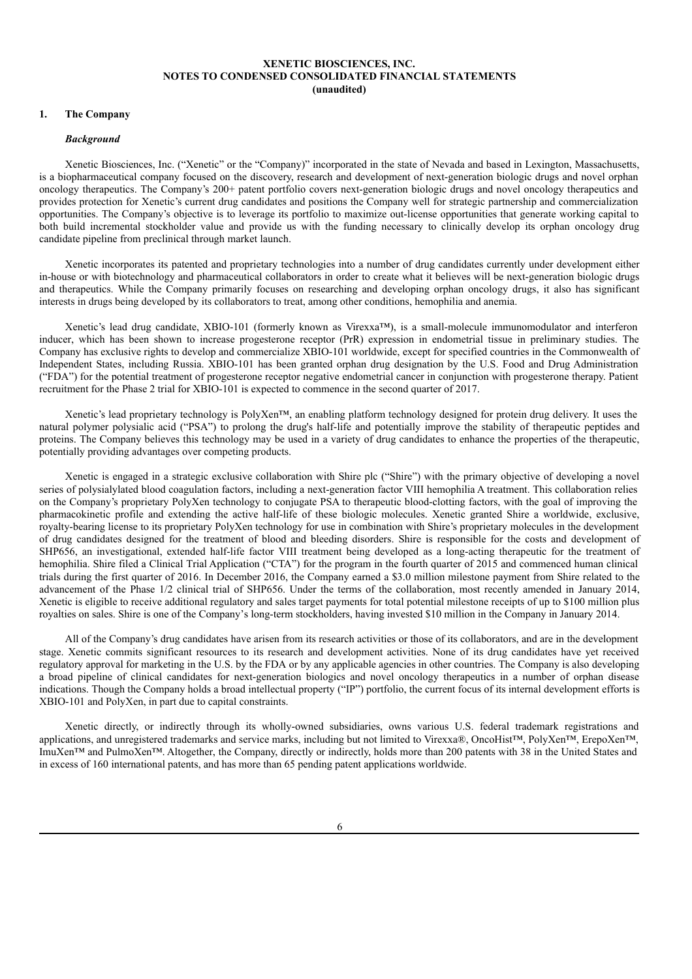## **XENETIC BIOSCIENCES, INC. NOTES TO CONDENSED CONSOLIDATED FINANCIAL STATEMENTS (unaudited)**

## **1. The Company**

#### *Background*

Xenetic Biosciences, Inc. ("Xenetic" or the "Company)" incorporated in the state of Nevada and based in Lexington, Massachusetts, is a biopharmaceutical company focused on the discovery, research and development of next-generation biologic drugs and novel orphan oncology therapeutics. The Company's 200+ patent portfolio covers next-generation biologic drugs and novel oncology therapeutics and provides protection for Xenetic's current drug candidates and positions the Company well for strategic partnership and commercialization opportunities. The Company's objective is to leverage its portfolio to maximize out-license opportunities that generate working capital to both build incremental stockholder value and provide us with the funding necessary to clinically develop its orphan oncology drug candidate pipeline from preclinical through market launch.

Xenetic incorporates its patented and proprietary technologies into a number of drug candidates currently under development either in-house or with biotechnology and pharmaceutical collaborators in order to create what it believes will be next-generation biologic drugs and therapeutics. While the Company primarily focuses on researching and developing orphan oncology drugs, it also has significant interests in drugs being developed by its collaborators to treat, among other conditions, hemophilia and anemia.

Xenetic's lead drug candidate, XBIO-101 (formerly known as Virexxa™), is a small-molecule immunomodulator and interferon inducer, which has been shown to increase progesterone receptor (PrR) expression in endometrial tissue in preliminary studies. The Company has exclusive rights to develop and commercialize XBIO-101 worldwide, except for specified countries in the Commonwealth of Independent States, including Russia. XBIO-101 has been granted orphan drug designation by the U.S. Food and Drug Administration ("FDA") for the potential treatment of progesterone receptor negative endometrial cancer in conjunction with progesterone therapy. Patient recruitment for the Phase 2 trial for XBIO-101 is expected to commence in the second quarter of 2017.

Xenetic's lead proprietary technology is PolyXen™, an enabling platform technology designed for protein drug delivery. It uses the natural polymer polysialic acid ("PSA") to prolong the drug's half-life and potentially improve the stability of therapeutic peptides and proteins. The Company believes this technology may be used in a variety of drug candidates to enhance the properties of the therapeutic, potentially providing advantages over competing products.

Xenetic is engaged in a strategic exclusive collaboration with Shire plc ("Shire") with the primary objective of developing a novel series of polysialylated blood coagulation factors, including a next-generation factor VIII hemophilia A treatment. This collaboration relies on the Company's proprietary PolyXen technology to conjugate PSA to therapeutic blood-clotting factors, with the goal of improving the pharmacokinetic profile and extending the active half-life of these biologic molecules. Xenetic granted Shire a worldwide, exclusive, royalty-bearing license to its proprietary PolyXen technology for use in combination with Shire's proprietary molecules in the development of drug candidates designed for the treatment of blood and bleeding disorders. Shire is responsible for the costs and development of SHP656, an investigational, extended half-life factor VIII treatment being developed as a long-acting therapeutic for the treatment of hemophilia. Shire filed a Clinical Trial Application ("CTA") for the program in the fourth quarter of 2015 and commenced human clinical trials during the first quarter of 2016. In December 2016, the Company earned a \$3.0 million milestone payment from Shire related to the advancement of the Phase 1/2 clinical trial of SHP656. Under the terms of the collaboration, most recently amended in January 2014, Xenetic is eligible to receive additional regulatory and sales target payments for total potential milestone receipts of up to \$100 million plus royalties on sales. Shire is one of the Company's long-term stockholders, having invested \$10 million in the Company in January 2014.

All of the Company's drug candidates have arisen from its research activities or those of its collaborators, and are in the development stage. Xenetic commits significant resources to its research and development activities. None of its drug candidates have yet received regulatory approval for marketing in the U.S. by the FDA or by any applicable agencies in other countries. The Company is also developing a broad pipeline of clinical candidates for next-generation biologics and novel oncology therapeutics in a number of orphan disease indications. Though the Company holds a broad intellectual property ("IP") portfolio, the current focus of its internal development efforts is XBIO-101 and PolyXen, in part due to capital constraints.

Xenetic directly, or indirectly through its wholly-owned subsidiaries, owns various U.S. federal trademark registrations and applications, and unregistered trademarks and service marks, including but not limited to Virexxa®, OncoHist™, PolyXen™, ErepoXen™, ImuXen™ and PulmoXen™. Altogether, the Company, directly or indirectly, holds more than 200 patents with 38 in the United States and in excess of 160 international patents, and has more than 65 pending patent applications worldwide.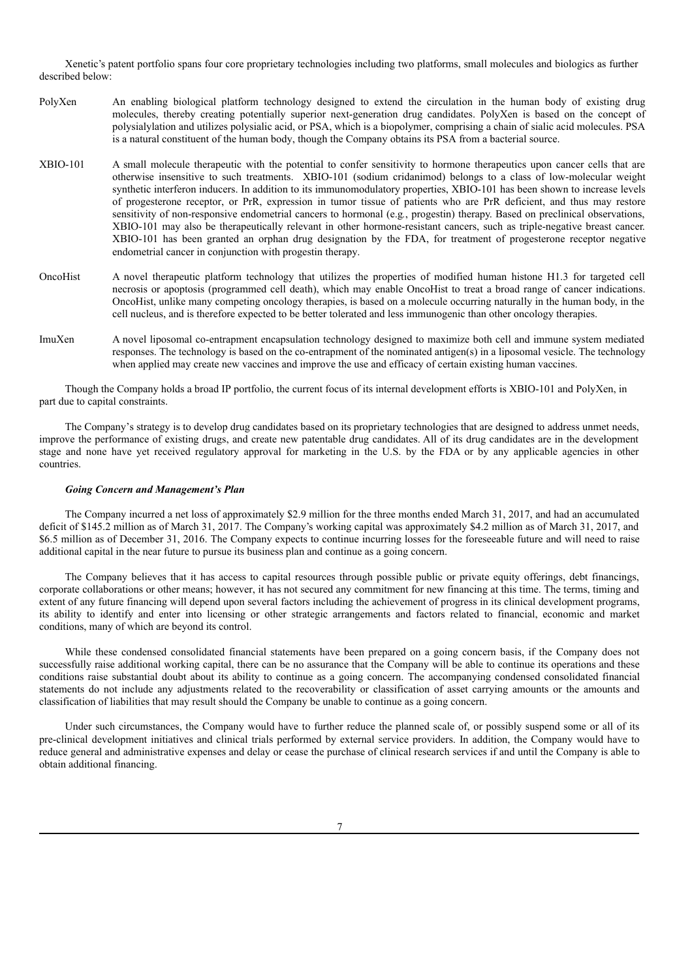Xenetic's patent portfolio spans four core proprietary technologies including two platforms, small molecules and biologics as further described below:

- PolyXen An enabling biological platform technology designed to extend the circulation in the human body of existing drug molecules, thereby creating potentially superior next-generation drug candidates. PolyXen is based on the concept of polysialylation and utilizes polysialic acid, or PSA, which is a biopolymer, comprising a chain of sialic acid molecules. PSA is a natural constituent of the human body, though the Company obtains its PSA from a bacterial source.
- XBIO-101 A small molecule therapeutic with the potential to confer sensitivity to hormone therapeutics upon cancer cells that are otherwise insensitive to such treatments. XBIO-101 (sodium cridanimod) belongs to a class of low-molecular weight synthetic interferon inducers. In addition to its immunomodulatory properties, XBIO-101 has been shown to increase levels of progesterone receptor, or PrR, expression in tumor tissue of patients who are PrR deficient, and thus may restore sensitivity of non-responsive endometrial cancers to hormonal (e.g*.*, progestin) therapy. Based on preclinical observations, XBIO-101 may also be therapeutically relevant in other hormone-resistant cancers, such as triple-negative breast cancer. XBIO-101 has been granted an orphan drug designation by the FDA, for treatment of progesterone receptor negative endometrial cancer in conjunction with progestin therapy.
- OncoHist A novel therapeutic platform technology that utilizes the properties of modified human histone H1.3 for targeted cell necrosis or apoptosis (programmed cell death), which may enable OncoHist to treat a broad range of cancer indications. OncoHist, unlike many competing oncology therapies, is based on a molecule occurring naturally in the human body, in the cell nucleus, and is therefore expected to be better tolerated and less immunogenic than other oncology therapies.
- ImuXen A novel liposomal co-entrapment encapsulation technology designed to maximize both cell and immune system mediated responses. The technology is based on the co-entrapment of the nominated antigen(s) in a liposomal vesicle. The technology when applied may create new vaccines and improve the use and efficacy of certain existing human vaccines.

Though the Company holds a broad IP portfolio, the current focus of its internal development efforts is XBIO-101 and PolyXen, in part due to capital constraints.

The Company's strategy is to develop drug candidates based on its proprietary technologies that are designed to address unmet needs, improve the performance of existing drugs, and create new patentable drug candidates. All of its drug candidates are in the development stage and none have yet received regulatory approval for marketing in the U.S. by the FDA or by any applicable agencies in other countries.

## *Going Concern and Management's Plan*

The Company incurred a net loss of approximately \$2.9 million for the three months ended March 31, 2017, and had an accumulated deficit of \$145.2 million as of March 31, 2017. The Company's working capital was approximately \$4.2 million as of March 31, 2017, and \$6.5 million as of December 31, 2016. The Company expects to continue incurring losses for the foreseeable future and will need to raise additional capital in the near future to pursue its business plan and continue as a going concern.

The Company believes that it has access to capital resources through possible public or private equity offerings, debt financings, corporate collaborations or other means; however, it has not secured any commitment for new financing at this time. The terms, timing and extent of any future financing will depend upon several factors including the achievement of progress in its clinical development programs, its ability to identify and enter into licensing or other strategic arrangements and factors related to financial, economic and market conditions, many of which are beyond its control.

While these condensed consolidated financial statements have been prepared on a going concern basis, if the Company does not successfully raise additional working capital, there can be no assurance that the Company will be able to continue its operations and these conditions raise substantial doubt about its ability to continue as a going concern. The accompanying condensed consolidated financial statements do not include any adjustments related to the recoverability or classification of asset carrying amounts or the amounts and classification of liabilities that may result should the Company be unable to continue as a going concern.

Under such circumstances, the Company would have to further reduce the planned scale of, or possibly suspend some or all of its pre-clinical development initiatives and clinical trials performed by external service providers. In addition, the Company would have to reduce general and administrative expenses and delay or cease the purchase of clinical research services if and until the Company is able to obtain additional financing.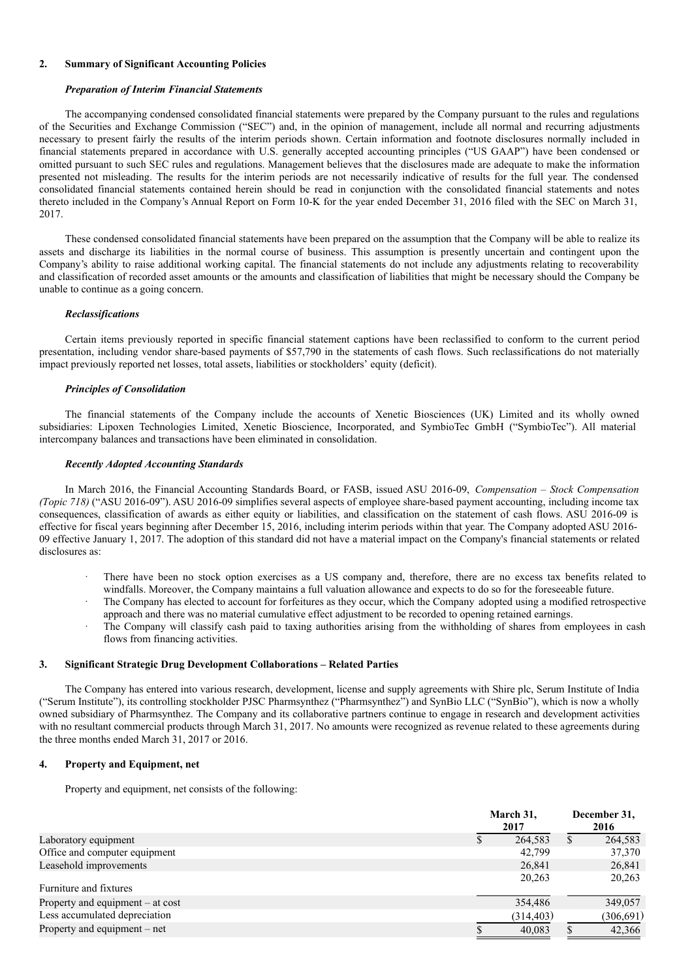## **2. Summary of Significant Accounting Policies**

## *Preparation of Interim Financial Statements*

The accompanying condensed consolidated financial statements were prepared by the Company pursuant to the rules and regulations of the Securities and Exchange Commission ("SEC") and, in the opinion of management, include all normal and recurring adjustments necessary to present fairly the results of the interim periods shown. Certain information and footnote disclosures normally included in financial statements prepared in accordance with U.S. generally accepted accounting principles ("US GAAP") have been condensed or omitted pursuant to such SEC rules and regulations. Management believes that the disclosures made are adequate to make the information presented not misleading. The results for the interim periods are not necessarily indicative of results for the full year. The condensed consolidated financial statements contained herein should be read in conjunction with the consolidated financial statements and notes thereto included in the Company's Annual Report on Form 10-K for the year ended December 31, 2016 filed with the SEC on March 31, 2017.

These condensed consolidated financial statements have been prepared on the assumption that the Company will be able to realize its assets and discharge its liabilities in the normal course of business. This assumption is presently uncertain and contingent upon the Company's ability to raise additional working capital. The financial statements do not include any adjustments relating to recoverability and classification of recorded asset amounts or the amounts and classification of liabilities that might be necessary should the Company be unable to continue as a going concern.

## *Reclassifications*

Certain items previously reported in specific financial statement captions have been reclassified to conform to the current period presentation, including vendor share-based payments of \$57,790 in the statements of cash flows. Such reclassifications do not materially impact previously reported net losses, total assets, liabilities or stockholders' equity (deficit).

## *Principles of Consolidation*

The financial statements of the Company include the accounts of Xenetic Biosciences (UK) Limited and its wholly owned subsidiaries: Lipoxen Technologies Limited, Xenetic Bioscience, Incorporated, and SymbioTec GmbH ("SymbioTec"). All material intercompany balances and transactions have been eliminated in consolidation.

# *Recently Adopted Accounting Standards*

In March 2016, the Financial Accounting Standards Board, or FASB, issued ASU 2016-09, *Compensation – Stock Compensation (Topic 718)* ("ASU 2016-09"). ASU 2016-09 simplifies several aspects of employee share-based payment accounting, including income tax consequences, classification of awards as either equity or liabilities, and classification on the statement of cash flows. ASU 2016-09 is effective for fiscal years beginning after December 15, 2016, including interim periods within that year. The Company adopted ASU 2016- 09 effective January 1, 2017. The adoption of this standard did not have a material impact on the Company's financial statements or related disclosures as:

- There have been no stock option exercises as a US company and, therefore, there are no excess tax benefits related to windfalls. Moreover, the Company maintains a full valuation allowance and expects to do so for the foreseeable future.
- The Company has elected to account for forfeitures as they occur, which the Company adopted using a modified retrospective approach and there was no material cumulative effect adjustment to be recorded to opening retained earnings.
- The Company will classify cash paid to taxing authorities arising from the withholding of shares from employees in cash flows from financing activities.

## **3. Significant Strategic Drug Development Collaborations – Related Parties**

The Company has entered into various research, development, license and supply agreements with Shire plc, Serum Institute of India ("Serum Institute"), its controlling stockholder PJSC Pharmsynthez ("Pharmsynthez") and SynBio LLC ("SynBio"), which is now a wholly owned subsidiary of Pharmsynthez. The Company and its collaborative partners continue to engage in research and development activities with no resultant commercial products through March 31, 2017. No amounts were recognized as revenue related to these agreements during the three months ended March 31, 2017 or 2016.

# **4. Property and Equipment, net**

Property and equipment, net consists of the following:

|                                    |   | March 31,<br>2017 | December 31,<br>2016 |
|------------------------------------|---|-------------------|----------------------|
| Laboratory equipment               | D | 264.583           | 264,583              |
| Office and computer equipment      |   | 42.799            | 37,370               |
| Leasehold improvements             |   | 26,841            | 26,841               |
| Furniture and fixtures             |   | 20,263            | 20,263               |
| Property and equipment $-$ at cost |   | 354,486           | 349,057              |
| Less accumulated depreciation      |   | (314, 403)        | (306, 691)           |
| Property and equipment – net       |   | 40,083            | 42,366               |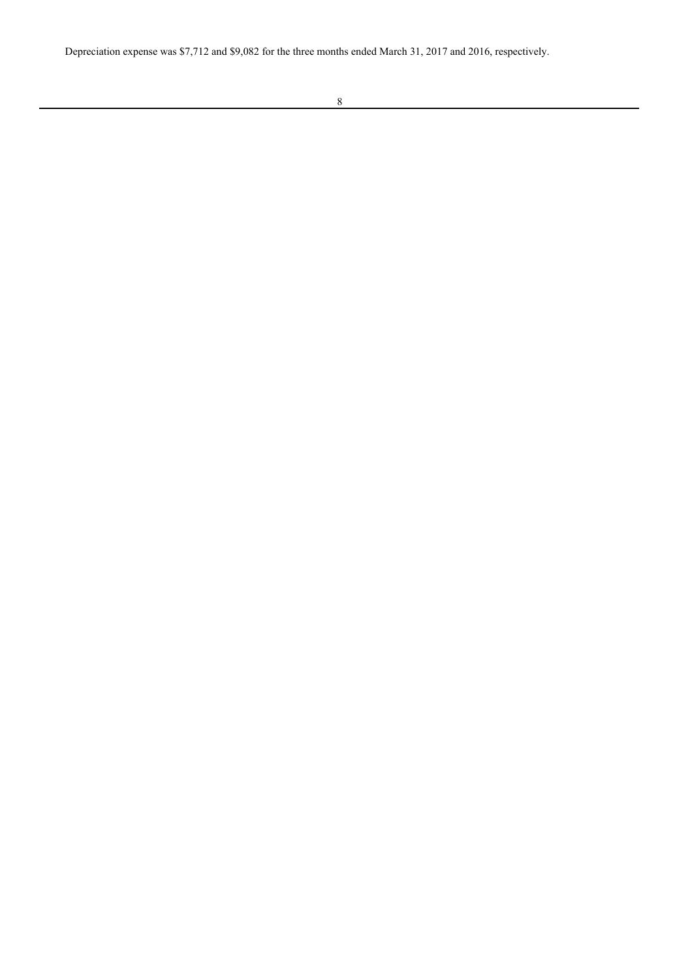Depreciation expense was \$7,712 and \$9,082 for the three months ended March 31, 2017 and 2016, respectively.

<u> 1989 - Johann Barn, mars eta bainar eta idazlea (</u>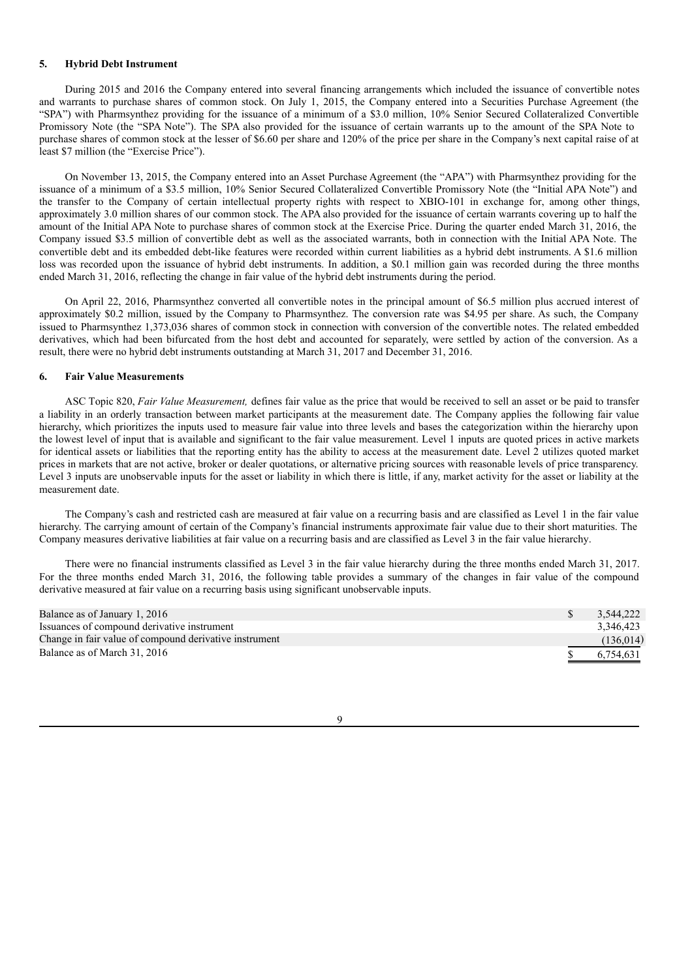#### **5. Hybrid Debt Instrument**

During 2015 and 2016 the Company entered into several financing arrangements which included the issuance of convertible notes and warrants to purchase shares of common stock. On July 1, 2015, the Company entered into a Securities Purchase Agreement (the "SPA") with Pharmsynthez providing for the issuance of a minimum of a \$3.0 million, 10% Senior Secured Collateralized Convertible Promissory Note (the "SPA Note"). The SPA also provided for the issuance of certain warrants up to the amount of the SPA Note to purchase shares of common stock at the lesser of \$6.60 per share and 120% of the price per share in the Company's next capital raise of at least \$7 million (the "Exercise Price").

On November 13, 2015, the Company entered into an Asset Purchase Agreement (the "APA") with Pharmsynthez providing for the issuance of a minimum of a \$3.5 million, 10% Senior Secured Collateralized Convertible Promissory Note (the "Initial APA Note") and the transfer to the Company of certain intellectual property rights with respect to XBIO-101 in exchange for, among other things, approximately 3.0 million shares of our common stock. The APA also provided for the issuance of certain warrants covering up to half the amount of the Initial APA Note to purchase shares of common stock at the Exercise Price. During the quarter ended March 31, 2016, the Company issued \$3.5 million of convertible debt as well as the associated warrants, both in connection with the Initial APA Note. The convertible debt and its embedded debt-like features were recorded within current liabilities as a hybrid debt instruments. A \$1.6 million loss was recorded upon the issuance of hybrid debt instruments. In addition, a \$0.1 million gain was recorded during the three months ended March 31, 2016, reflecting the change in fair value of the hybrid debt instruments during the period.

On April 22, 2016, Pharmsynthez converted all convertible notes in the principal amount of \$6.5 million plus accrued interest of approximately \$0.2 million, issued by the Company to Pharmsynthez. The conversion rate was \$4.95 per share. As such, the Company issued to Pharmsynthez 1,373,036 shares of common stock in connection with conversion of the convertible notes. The related embedded derivatives, which had been bifurcated from the host debt and accounted for separately, were settled by action of the conversion. As a result, there were no hybrid debt instruments outstanding at March 31, 2017 and December 31, 2016.

## **6. Fair Value Measurements**

ASC Topic 820, *Fair Value Measurement,* defines fair value as the price that would be received to sell an asset or be paid to transfer a liability in an orderly transaction between market participants at the measurement date. The Company applies the following fair value hierarchy, which prioritizes the inputs used to measure fair value into three levels and bases the categorization within the hierarchy upon the lowest level of input that is available and significant to the fair value measurement. Level 1 inputs are quoted prices in active markets for identical assets or liabilities that the reporting entity has the ability to access at the measurement date. Level 2 utilizes quoted market prices in markets that are not active, broker or dealer quotations, or alternative pricing sources with reasonable levels of price transparency. Level 3 inputs are unobservable inputs for the asset or liability in which there is little, if any, market activity for the asset or liability at the measurement date.

The Company's cash and restricted cash are measured at fair value on a recurring basis and are classified as Level 1 in the fair value hierarchy. The carrying amount of certain of the Company's financial instruments approximate fair value due to their short maturities. The Company measures derivative liabilities at fair value on a recurring basis and are classified as Level 3 in the fair value hierarchy.

There were no financial instruments classified as Level 3 in the fair value hierarchy during the three months ended March 31, 2017. For the three months ended March 31, 2016, the following table provides a summary of the changes in fair value of the compound derivative measured at fair value on a recurring basis using significant unobservable inputs.

| 3.544.222  |
|------------|
| 3.346.423  |
| (136, 014) |
| 6.754.631  |
|            |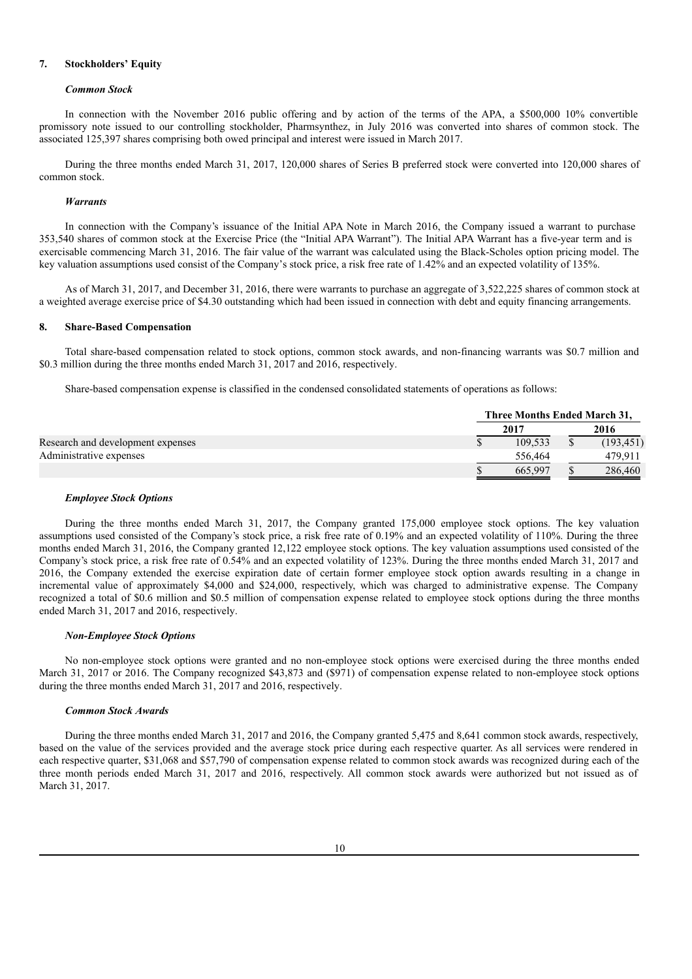#### **7. Stockholders' Equity**

## *Common Stock*

In connection with the November 2016 public offering and by action of the terms of the APA, a \$500,000 10% convertible promissory note issued to our controlling stockholder, Pharmsynthez, in July 2016 was converted into shares of common stock. The associated 125,397 shares comprising both owed principal and interest were issued in March 2017.

During the three months ended March 31, 2017, 120,000 shares of Series B preferred stock were converted into 120,000 shares of common stock.

#### *Warrants*

In connection with the Company's issuance of the Initial APA Note in March 2016, the Company issued a warrant to purchase 353,540 shares of common stock at the Exercise Price (the "Initial APA Warrant"). The Initial APA Warrant has a five-year term and is exercisable commencing March 31, 2016. The fair value of the warrant was calculated using the Black-Scholes option pricing model. The key valuation assumptions used consist of the Company's stock price, a risk free rate of 1.42% and an expected volatility of 135%.

As of March 31, 2017, and December 31, 2016, there were warrants to purchase an aggregate of 3,522,225 shares of common stock at a weighted average exercise price of \$4.30 outstanding which had been issued in connection with debt and equity financing arrangements.

## **8. Share-Based Compensation**

Total share-based compensation related to stock options, common stock awards, and non-financing warrants was \$0.7 million and \$0.3 million during the three months ended March 31, 2017 and 2016, respectively.

Share-based compensation expense is classified in the condensed consolidated statements of operations as follows:

|                                   | Three Months Ended March 31, |  |            |  |
|-----------------------------------|------------------------------|--|------------|--|
|                                   | 2017                         |  |            |  |
| Research and development expenses | 109.533                      |  | (193, 451) |  |
| Administrative expenses           | 556,464                      |  | 479.911    |  |
|                                   | 665,997                      |  | 286,460    |  |

#### *Employee Stock Options*

During the three months ended March 31, 2017, the Company granted 175,000 employee stock options. The key valuation assumptions used consisted of the Company's stock price, a risk free rate of 0.19% and an expected volatility of 110%. During the three months ended March 31, 2016, the Company granted 12,122 employee stock options. The key valuation assumptions used consisted of the Company's stock price, a risk free rate of 0.54% and an expected volatility of 123%. During the three months ended March 31, 2017 and 2016, the Company extended the exercise expiration date of certain former employee stock option awards resulting in a change in incremental value of approximately \$4,000 and \$24,000, respectively, which was charged to administrative expense. The Company recognized a total of \$0.6 million and \$0.5 million of compensation expense related to employee stock options during the three months ended March 31, 2017 and 2016, respectively.

#### *Non-Employee Stock Options*

No non-employee stock options were granted and no non-employee stock options were exercised during the three months ended March 31, 2017 or 2016. The Company recognized \$43,873 and (\$971) of compensation expense related to non-employee stock options during the three months ended March 31, 2017 and 2016, respectively.

#### *Common Stock Awards*

During the three months ended March 31, 2017 and 2016, the Company granted 5,475 and 8,641 common stock awards, respectively, based on the value of the services provided and the average stock price during each respective quarter. As all services were rendered in each respective quarter, \$31,068 and \$57,790 of compensation expense related to common stock awards was recognized during each of the three month periods ended March 31, 2017 and 2016, respectively. All common stock awards were authorized but not issued as of March 31, 2017.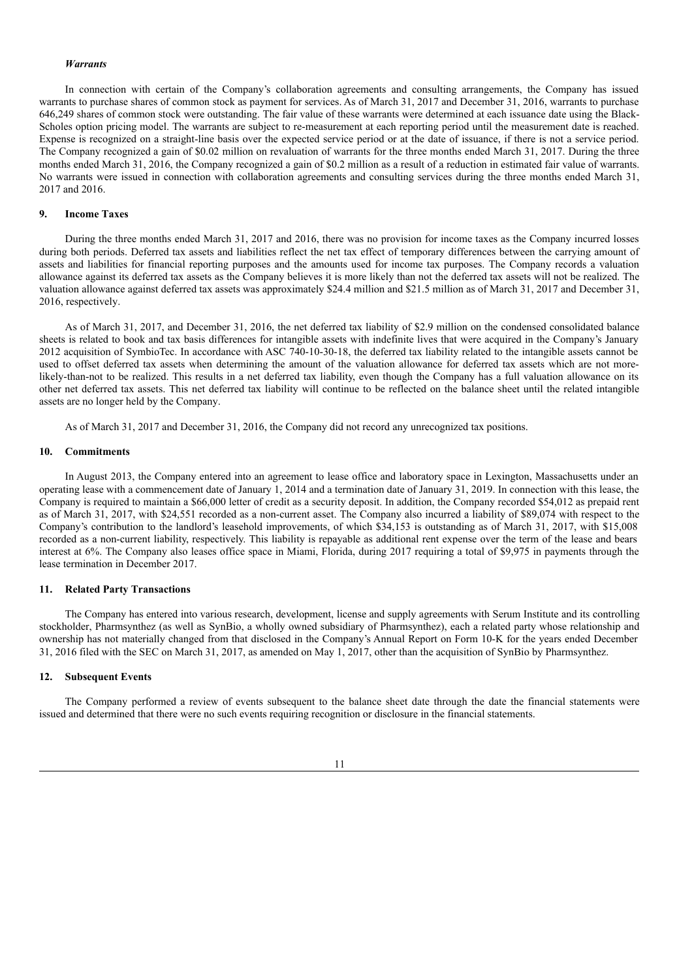#### *Warrants*

In connection with certain of the Company's collaboration agreements and consulting arrangements, the Company has issued warrants to purchase shares of common stock as payment for services. As of March 31, 2017 and December 31, 2016, warrants to purchase 646,249 shares of common stock were outstanding. The fair value of these warrants were determined at each issuance date using the Black-Scholes option pricing model. The warrants are subject to re-measurement at each reporting period until the measurement date is reached. Expense is recognized on a straight-line basis over the expected service period or at the date of issuance, if there is not a service period. The Company recognized a gain of \$0.02 million on revaluation of warrants for the three months ended March 31, 2017. During the three months ended March 31, 2016, the Company recognized a gain of \$0.2 million as a result of a reduction in estimated fair value of warrants. No warrants were issued in connection with collaboration agreements and consulting services during the three months ended March 31, 2017 and 2016.

## **9. Income Taxes**

During the three months ended March 31, 2017 and 2016, there was no provision for income taxes as the Company incurred losses during both periods. Deferred tax assets and liabilities reflect the net tax effect of temporary differences between the carrying amount of assets and liabilities for financial reporting purposes and the amounts used for income tax purposes. The Company records a valuation allowance against its deferred tax assets as the Company believes it is more likely than not the deferred tax assets will not be realized. The valuation allowance against deferred tax assets was approximately \$24.4 million and \$21.5 million as of March 31, 2017 and December 31, 2016, respectively.

As of March 31, 2017, and December 31, 2016, the net deferred tax liability of \$2.9 million on the condensed consolidated balance sheets is related to book and tax basis differences for intangible assets with indefinite lives that were acquired in the Company's January 2012 acquisition of SymbioTec. In accordance with ASC 740-10-30-18, the deferred tax liability related to the intangible assets cannot be used to offset deferred tax assets when determining the amount of the valuation allowance for deferred tax assets which are not morelikely-than-not to be realized. This results in a net deferred tax liability, even though the Company has a full valuation allowance on its other net deferred tax assets. This net deferred tax liability will continue to be reflected on the balance sheet until the related intangible assets are no longer held by the Company.

As of March 31, 2017 and December 31, 2016, the Company did not record any unrecognized tax positions.

# **10. Commitments**

In August 2013, the Company entered into an agreement to lease office and laboratory space in Lexington, Massachusetts under an operating lease with a commencement date of January 1, 2014 and a termination date of January 31, 2019. In connection with this lease, the Company is required to maintain a \$66,000 letter of credit as a security deposit. In addition, the Company recorded \$54,012 as prepaid rent as of March 31, 2017, with \$24,551 recorded as a non-current asset. The Company also incurred a liability of \$89,074 with respect to the Company's contribution to the landlord's leasehold improvements, of which \$34,153 is outstanding as of March 31, 2017, with \$15,008 recorded as a non-current liability, respectively. This liability is repayable as additional rent expense over the term of the lease and bears interest at 6%. The Company also leases office space in Miami, Florida, during 2017 requiring a total of \$9,975 in payments through the lease termination in December 2017.

## **11. Related Party Transactions**

The Company has entered into various research, development, license and supply agreements with Serum Institute and its controlling stockholder, Pharmsynthez (as well as SynBio, a wholly owned subsidiary of Pharmsynthez), each a related party whose relationship and ownership has not materially changed from that disclosed in the Company's Annual Report on Form 10-K for the years ended December 31, 2016 filed with the SEC on March 31, 2017, as amended on May 1, 2017, other than the acquisition of SynBio by Pharmsynthez.

#### **12. Subsequent Events**

The Company performed a review of events subsequent to the balance sheet date through the date the financial statements were issued and determined that there were no such events requiring recognition or disclosure in the financial statements.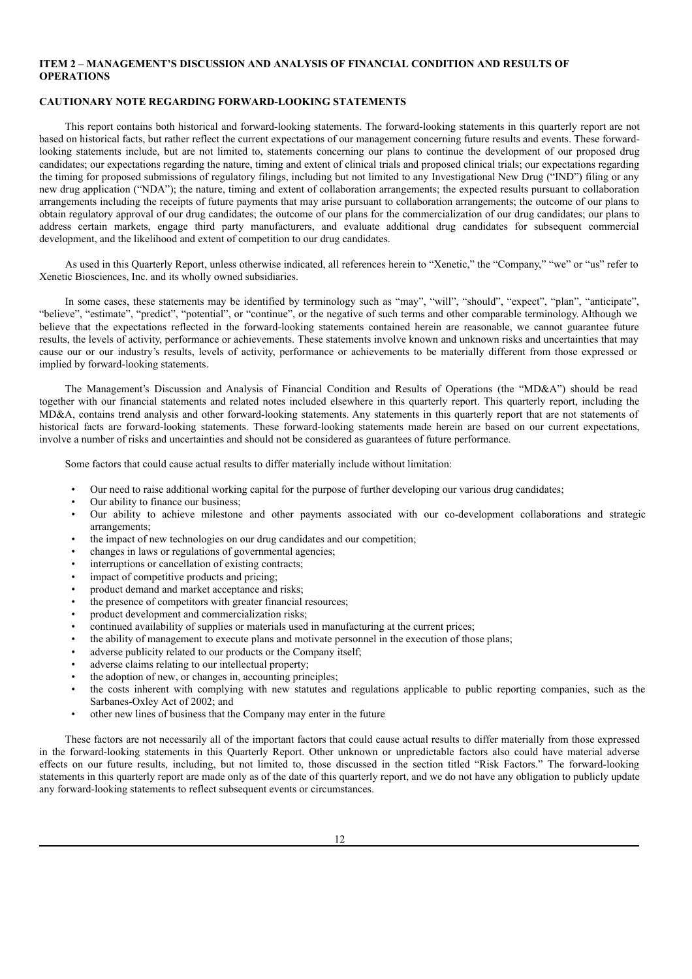# **ITEM 2 – MANAGEMENT'S DISCUSSION AND ANALYSIS OF FINANCIAL CONDITION AND RESULTS OF OPERATIONS**

# **CAUTIONARY NOTE REGARDING FORWARD-LOOKING STATEMENTS**

This report contains both historical and forward-looking statements. The forward-looking statements in this quarterly report are not based on historical facts, but rather reflect the current expectations of our management concerning future results and events. These forwardlooking statements include, but are not limited to, statements concerning our plans to continue the development of our proposed drug candidates; our expectations regarding the nature, timing and extent of clinical trials and proposed clinical trials; our expectations regarding the timing for proposed submissions of regulatory filings, including but not limited to any Investigational New Drug ("IND") filing or any new drug application ("NDA"); the nature, timing and extent of collaboration arrangements; the expected results pursuant to collaboration arrangements including the receipts of future payments that may arise pursuant to collaboration arrangements; the outcome of our plans to obtain regulatory approval of our drug candidates; the outcome of our plans for the commercialization of our drug candidates; our plans to address certain markets, engage third party manufacturers, and evaluate additional drug candidates for subsequent commercial development, and the likelihood and extent of competition to our drug candidates.

As used in this Quarterly Report, unless otherwise indicated, all references herein to "Xenetic," the "Company," "we" or "us" refer to Xenetic Biosciences, Inc. and its wholly owned subsidiaries.

In some cases, these statements may be identified by terminology such as "may", "will", "should", "expect", "plan", "anticipate", "believe", "estimate", "predict", "potential", or "continue", or the negative of such terms and other comparable terminology. Although we believe that the expectations reflected in the forward-looking statements contained herein are reasonable, we cannot guarantee future results, the levels of activity, performance or achievements. These statements involve known and unknown risks and uncertainties that may cause our or our industry's results, levels of activity, performance or achievements to be materially different from those expressed or implied by forward-looking statements.

The Management's Discussion and Analysis of Financial Condition and Results of Operations (the "MD&A") should be read together with our financial statements and related notes included elsewhere in this quarterly report. This quarterly report, including the MD&A, contains trend analysis and other forward-looking statements. Any statements in this quarterly report that are not statements of historical facts are forward-looking statements. These forward-looking statements made herein are based on our current expectations, involve a number of risks and uncertainties and should not be considered as guarantees of future performance.

Some factors that could cause actual results to differ materially include without limitation:

- Our need to raise additional working capital for the purpose of further developing our various drug candidates;
- Our ability to finance our business;
- Our ability to achieve milestone and other payments associated with our co-development collaborations and strategic arrangements;
- the impact of new technologies on our drug candidates and our competition;
- changes in laws or regulations of governmental agencies;
- interruptions or cancellation of existing contracts;
- impact of competitive products and pricing;
- product demand and market acceptance and risks;
- the presence of competitors with greater financial resources;
- product development and commercialization risks;
- continued availability of supplies or materials used in manufacturing at the current prices;
- the ability of management to execute plans and motivate personnel in the execution of those plans;
- adverse publicity related to our products or the Company itself;
- adverse claims relating to our intellectual property;
- the adoption of new, or changes in, accounting principles;
- the costs inherent with complying with new statutes and regulations applicable to public reporting companies, such as the Sarbanes-Oxley Act of 2002; and
- other new lines of business that the Company may enter in the future

These factors are not necessarily all of the important factors that could cause actual results to differ materially from those expressed in the forward-looking statements in this Quarterly Report. Other unknown or unpredictable factors also could have material adverse effects on our future results, including, but not limited to, those discussed in the section titled "Risk Factors." The forward-looking statements in this quarterly report are made only as of the date of this quarterly report, and we do not have any obligation to publicly update any forward-looking statements to reflect subsequent events or circumstances.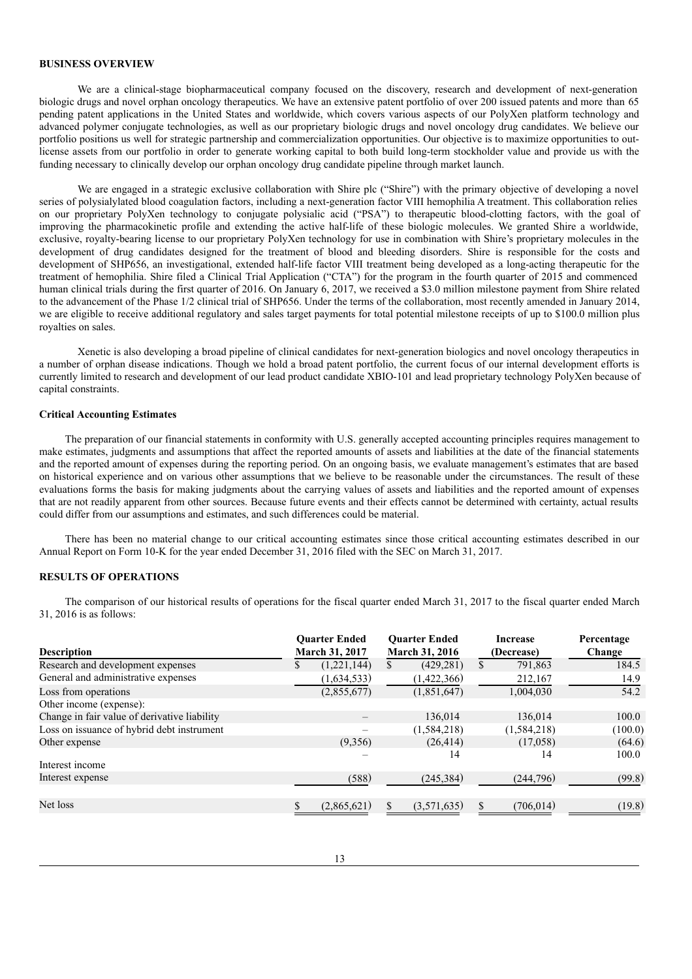## **BUSINESS OVERVIEW**

We are a clinical-stage biopharmaceutical company focused on the discovery, research and development of next-generation biologic drugs and novel orphan oncology therapeutics. We have an extensive patent portfolio of over 200 issued patents and more than 65 pending patent applications in the United States and worldwide, which covers various aspects of our PolyXen platform technology and advanced polymer conjugate technologies, as well as our proprietary biologic drugs and novel oncology drug candidates. We believe our portfolio positions us well for strategic partnership and commercialization opportunities. Our objective is to maximize opportunities to outlicense assets from our portfolio in order to generate working capital to both build long-term stockholder value and provide us with the funding necessary to clinically develop our orphan oncology drug candidate pipeline through market launch.

We are engaged in a strategic exclusive collaboration with Shire plc ("Shire") with the primary objective of developing a novel series of polysialylated blood coagulation factors, including a next-generation factor VIII hemophilia A treatment. This collaboration relies on our proprietary PolyXen technology to conjugate polysialic acid ("PSA") to therapeutic blood-clotting factors, with the goal of improving the pharmacokinetic profile and extending the active half-life of these biologic molecules. We granted Shire a worldwide, exclusive, royalty-bearing license to our proprietary PolyXen technology for use in combination with Shire's proprietary molecules in the development of drug candidates designed for the treatment of blood and bleeding disorders. Shire is responsible for the costs and development of SHP656, an investigational, extended half-life factor VIII treatment being developed as a long-acting therapeutic for the treatment of hemophilia. Shire filed a Clinical Trial Application ("CTA") for the program in the fourth quarter of 2015 and commenced human clinical trials during the first quarter of 2016. On January 6, 2017, we received a \$3.0 million milestone payment from Shire related to the advancement of the Phase 1/2 clinical trial of SHP656. Under the terms of the collaboration, most recently amended in January 2014, we are eligible to receive additional regulatory and sales target payments for total potential milestone receipts of up to \$100.0 million plus royalties on sales.

Xenetic is also developing a broad pipeline of clinical candidates for next-generation biologics and novel oncology therapeutics in a number of orphan disease indications. Though we hold a broad patent portfolio, the current focus of our internal development efforts is currently limited to research and development of our lead product candidate XBIO-101 and lead proprietary technology PolyXen because of capital constraints.

## **Critical Accounting Estimates**

The preparation of our financial statements in conformity with U.S. generally accepted accounting principles requires management to make estimates, judgments and assumptions that affect the reported amounts of assets and liabilities at the date of the financial statements and the reported amount of expenses during the reporting period. On an ongoing basis, we evaluate management's estimates that are based on historical experience and on various other assumptions that we believe to be reasonable under the circumstances. The result of these evaluations forms the basis for making judgments about the carrying values of assets and liabilities and the reported amount of expenses that are not readily apparent from other sources. Because future events and their effects cannot be determined with certainty, actual results could differ from our assumptions and estimates, and such differences could be material.

There has been no material change to our critical accounting estimates since those critical accounting estimates described in our Annual Report on Form 10-K for the year ended December 31, 2016 filed with the SEC on March 31, 2017.

## **RESULTS OF OPERATIONS**

The comparison of our historical results of operations for the fiscal quarter ended March 31, 2017 to the fiscal quarter ended March 31, 2016 is as follows:

| <b>Description</b>                           |    | <b>Ouarter Ended</b><br><b>March 31, 2017</b> |    | <b>Ouarter Ended</b><br><b>March 31, 2016</b> | <b>Increase</b><br>(Decrease) | Percentage<br>Change |
|----------------------------------------------|----|-----------------------------------------------|----|-----------------------------------------------|-------------------------------|----------------------|
| Research and development expenses            | S. | (1,221,144)                                   | S. | (429, 281)                                    | 791,863                       | 184.5                |
| General and administrative expenses          |    | (1,634,533)                                   |    | (1,422,366)                                   | 212,167                       | 14.9                 |
| Loss from operations                         |    | (2,855,677)                                   |    | (1,851,647)                                   | 1,004,030                     | 54.2                 |
| Other income (expense):                      |    |                                               |    |                                               |                               |                      |
| Change in fair value of derivative liability |    |                                               |    | 136,014                                       | 136.014                       | 100.0                |
| Loss on issuance of hybrid debt instrument   |    |                                               |    | (1, 584, 218)                                 | (1, 584, 218)                 | (100.0)              |
| Other expense                                |    | (9,356)                                       |    | (26, 414)                                     | (17,058)                      | (64.6)               |
|                                              |    |                                               |    | 14                                            | 14                            | 100.0                |
| Interest income                              |    |                                               |    |                                               |                               |                      |
| Interest expense                             |    | (588)                                         |    | (245, 384)                                    | (244, 796)                    | (99.8)               |
|                                              |    |                                               |    |                                               |                               |                      |
| Net loss                                     |    | (2,865,621)                                   |    | (3,571,635)                                   | (706, 014)                    | (19.8)               |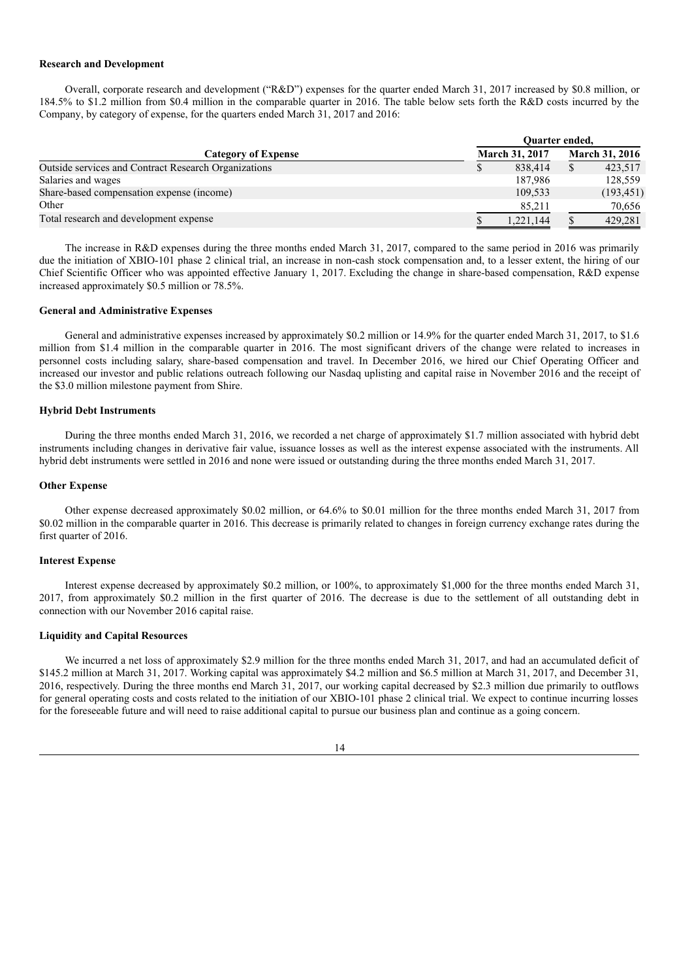#### **Research and Development**

Overall, corporate research and development ("R&D") expenses for the quarter ended March 31, 2017 increased by \$0.8 million, or 184.5% to \$1.2 million from \$0.4 million in the comparable quarter in 2016. The table below sets forth the R&D costs incurred by the Company, by category of expense, for the quarters ended March 31, 2017 and 2016:

|                                                             |                       | <b>Ouarter ended,</b> |                       |  |  |  |  |
|-------------------------------------------------------------|-----------------------|-----------------------|-----------------------|--|--|--|--|
| Category of Expense                                         | <b>March 31, 2017</b> |                       | <b>March 31, 2016</b> |  |  |  |  |
| <b>Outside services and Contract Research Organizations</b> | 838.414<br>Ъ          |                       | 423,517               |  |  |  |  |
| Salaries and wages                                          | 187.986               |                       | 128,559               |  |  |  |  |
| Share-based compensation expense (income)                   | 109.533               |                       | (193, 451)            |  |  |  |  |
| Other                                                       | 85.211                |                       | 70.656                |  |  |  |  |
| Total research and development expense                      | 1.221.144             |                       | 429.281               |  |  |  |  |

The increase in R&D expenses during the three months ended March 31, 2017, compared to the same period in 2016 was primarily due the initiation of XBIO-101 phase 2 clinical trial, an increase in non-cash stock compensation and, to a lesser extent, the hiring of our Chief Scientific Officer who was appointed effective January 1, 2017. Excluding the change in share-based compensation, R&D expense increased approximately \$0.5 million or 78.5%.

## **General and Administrative Expenses**

General and administrative expenses increased by approximately \$0.2 million or 14.9% for the quarter ended March 31, 2017, to \$1.6 million from \$1.4 million in the comparable quarter in 2016. The most significant drivers of the change were related to increases in personnel costs including salary, share-based compensation and travel. In December 2016, we hired our Chief Operating Officer and increased our investor and public relations outreach following our Nasdaq uplisting and capital raise in November 2016 and the receipt of the \$3.0 million milestone payment from Shire.

#### **Hybrid Debt Instruments**

During the three months ended March 31, 2016, we recorded a net charge of approximately \$1.7 million associated with hybrid debt instruments including changes in derivative fair value, issuance losses as well as the interest expense associated with the instruments. All hybrid debt instruments were settled in 2016 and none were issued or outstanding during the three months ended March 31, 2017.

#### **Other Expense**

Other expense decreased approximately \$0.02 million, or 64.6% to \$0.01 million for the three months ended March 31, 2017 from \$0.02 million in the comparable quarter in 2016. This decrease is primarily related to changes in foreign currency exchange rates during the first quarter of 2016.

## **Interest Expense**

Interest expense decreased by approximately \$0.2 million, or 100%, to approximately \$1,000 for the three months ended March 31, 2017, from approximately \$0.2 million in the first quarter of 2016. The decrease is due to the settlement of all outstanding debt in connection with our November 2016 capital raise.

## **Liquidity and Capital Resources**

We incurred a net loss of approximately \$2.9 million for the three months ended March 31, 2017, and had an accumulated deficit of \$145.2 million at March 31, 2017. Working capital was approximately \$4.2 million and \$6.5 million at March 31, 2017, and December 31, 2016, respectively. During the three months end March 31, 2017, our working capital decreased by \$2.3 million due primarily to outflows for general operating costs and costs related to the initiation of our XBIO-101 phase 2 clinical trial. We expect to continue incurring losses for the foreseeable future and will need to raise additional capital to pursue our business plan and continue as a going concern.

#### $14$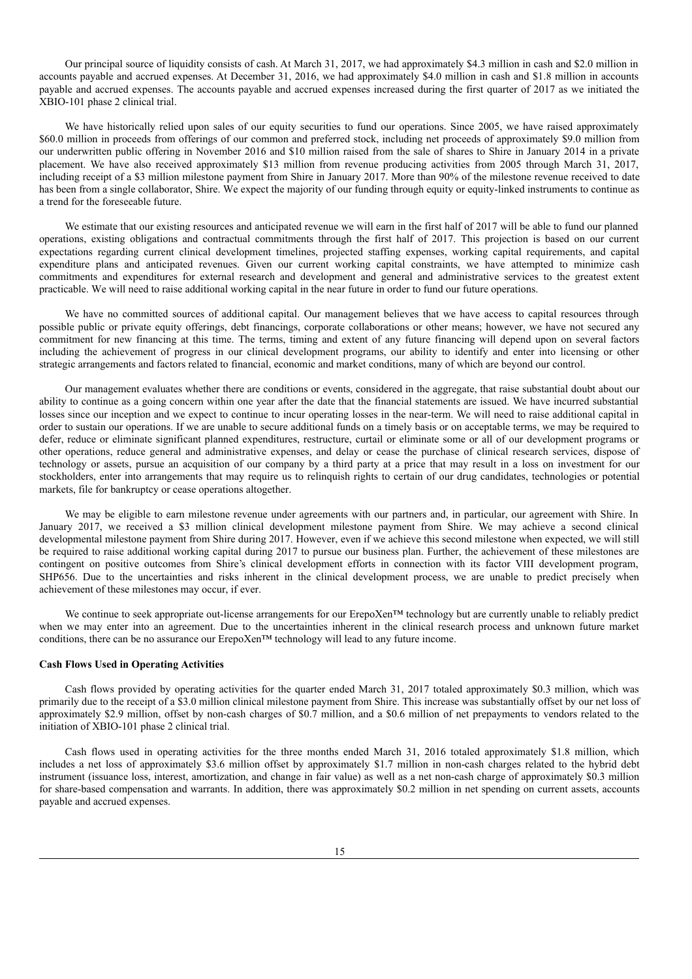Our principal source of liquidity consists of cash. At March 31, 2017, we had approximately \$4.3 million in cash and \$2.0 million in accounts payable and accrued expenses. At December 31, 2016, we had approximately \$4.0 million in cash and \$1.8 million in accounts payable and accrued expenses. The accounts payable and accrued expenses increased during the first quarter of 2017 as we initiated the XBIO-101 phase 2 clinical trial.

We have historically relied upon sales of our equity securities to fund our operations. Since 2005, we have raised approximately \$60.0 million in proceeds from offerings of our common and preferred stock, including net proceeds of approximately \$9.0 million from our underwritten public offering in November 2016 and \$10 million raised from the sale of shares to Shire in January 2014 in a private placement. We have also received approximately \$13 million from revenue producing activities from 2005 through March 31, 2017, including receipt of a \$3 million milestone payment from Shire in January 2017. More than 90% of the milestone revenue received to date has been from a single collaborator, Shire. We expect the majority of our funding through equity or equity-linked instruments to continue as a trend for the foreseeable future.

We estimate that our existing resources and anticipated revenue we will earn in the first half of 2017 will be able to fund our planned operations, existing obligations and contractual commitments through the first half of 2017. This projection is based on our current expectations regarding current clinical development timelines, projected staffing expenses, working capital requirements, and capital expenditure plans and anticipated revenues. Given our current working capital constraints, we have attempted to minimize cash commitments and expenditures for external research and development and general and administrative services to the greatest extent practicable. We will need to raise additional working capital in the near future in order to fund our future operations.

We have no committed sources of additional capital. Our management believes that we have access to capital resources through possible public or private equity offerings, debt financings, corporate collaborations or other means; however, we have not secured any commitment for new financing at this time. The terms, timing and extent of any future financing will depend upon on several factors including the achievement of progress in our clinical development programs, our ability to identify and enter into licensing or other strategic arrangements and factors related to financial, economic and market conditions, many of which are beyond our control.

Our management evaluates whether there are conditions or events, considered in the aggregate, that raise substantial doubt about our ability to continue as a going concern within one year after the date that the financial statements are issued. We have incurred substantial losses since our inception and we expect to continue to incur operating losses in the near-term. We will need to raise additional capital in order to sustain our operations. If we are unable to secure additional funds on a timely basis or on acceptable terms, we may be required to defer, reduce or eliminate significant planned expenditures, restructure, curtail or eliminate some or all of our development programs or other operations, reduce general and administrative expenses, and delay or cease the purchase of clinical research services, dispose of technology or assets, pursue an acquisition of our company by a third party at a price that may result in a loss on investment for our stockholders, enter into arrangements that may require us to relinquish rights to certain of our drug candidates, technologies or potential markets, file for bankruptcy or cease operations altogether.

We may be eligible to earn milestone revenue under agreements with our partners and, in particular, our agreement with Shire. In January 2017, we received a \$3 million clinical development milestone payment from Shire. We may achieve a second clinical developmental milestone payment from Shire during 2017. However, even if we achieve this second milestone when expected, we will still be required to raise additional working capital during 2017 to pursue our business plan. Further, the achievement of these milestones are contingent on positive outcomes from Shire's clinical development efforts in connection with its factor VIII development program, SHP656. Due to the uncertainties and risks inherent in the clinical development process, we are unable to predict precisely when achievement of these milestones may occur, if ever.

We continue to seek appropriate out-license arrangements for our ErepoXen™ technology but are currently unable to reliably predict when we may enter into an agreement. Due to the uncertainties inherent in the clinical research process and unknown future market conditions, there can be no assurance our ErepoXen™ technology will lead to any future income.

#### **Cash Flows Used in Operating Activities**

Cash flows provided by operating activities for the quarter ended March 31, 2017 totaled approximately \$0.3 million, which was primarily due to the receipt of a \$3.0 million clinical milestone payment from Shire. This increase was substantially offset by our net loss of approximately \$2.9 million, offset by non-cash charges of \$0.7 million, and a \$0.6 million of net prepayments to vendors related to the initiation of XBIO-101 phase 2 clinical trial.

Cash flows used in operating activities for the three months ended March 31, 2016 totaled approximately \$1.8 million, which includes a net loss of approximately \$3.6 million offset by approximately \$1.7 million in non-cash charges related to the hybrid debt instrument (issuance loss, interest, amortization, and change in fair value) as well as a net non-cash charge of approximately \$0.3 million for share-based compensation and warrants. In addition, there was approximately \$0.2 million in net spending on current assets, accounts payable and accrued expenses.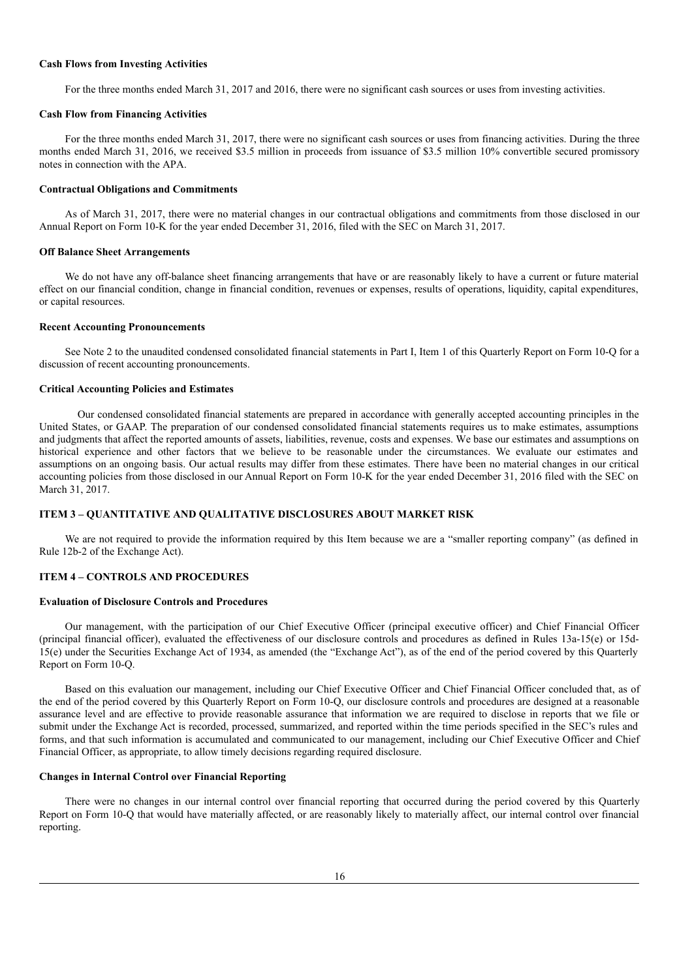#### **Cash Flows from Investing Activities**

For the three months ended March 31, 2017 and 2016, there were no significant cash sources or uses from investing activities.

## **Cash Flow from Financing Activities**

For the three months ended March 31, 2017, there were no significant cash sources or uses from financing activities. During the three months ended March 31, 2016, we received \$3.5 million in proceeds from issuance of \$3.5 million 10% convertible secured promissory notes in connection with the APA.

## **Contractual Obligations and Commitments**

As of March 31, 2017, there were no material changes in our contractual obligations and commitments from those disclosed in our Annual Report on Form 10-K for the year ended December 31, 2016, filed with the SEC on March 31, 2017.

## **Off Balance Sheet Arrangements**

We do not have any off-balance sheet financing arrangements that have or are reasonably likely to have a current or future material effect on our financial condition, change in financial condition, revenues or expenses, results of operations, liquidity, capital expenditures, or capital resources.

## **Recent Accounting Pronouncements**

See Note 2 to the unaudited condensed consolidated financial statements in Part I, Item 1 of this Quarterly Report on Form 10-Q for a discussion of recent accounting pronouncements.

## **Critical Accounting Policies and Estimates**

Our condensed consolidated financial statements are prepared in accordance with generally accepted accounting principles in the United States, or GAAP. The preparation of our condensed consolidated financial statements requires us to make estimates, assumptions and judgments that affect the reported amounts of assets, liabilities, revenue, costs and expenses. We base our estimates and assumptions on historical experience and other factors that we believe to be reasonable under the circumstances. We evaluate our estimates and assumptions on an ongoing basis. Our actual results may differ from these estimates. There have been no material changes in our critical accounting policies from those disclosed in our Annual Report on Form 10-K for the year ended December 31, 2016 filed with the SEC on March 31, 2017.

## **ITEM 3 – QUANTITATIVE AND QUALITATIVE DISCLOSURES ABOUT MARKET RISK**

We are not required to provide the information required by this Item because we are a "smaller reporting company" (as defined in Rule 12b-2 of the Exchange Act).

## **ITEM 4 – CONTROLS AND PROCEDURES**

## **Evaluation of Disclosure Controls and Procedures**

Our management, with the participation of our Chief Executive Officer (principal executive officer) and Chief Financial Officer (principal financial officer), evaluated the effectiveness of our disclosure controls and procedures as defined in Rules 13a-15(e) or 15d-15(e) under the Securities Exchange Act of 1934, as amended (the "Exchange Act"), as of the end of the period covered by this Quarterly Report on Form 10-Q.

Based on this evaluation our management, including our Chief Executive Officer and Chief Financial Officer concluded that, as of the end of the period covered by this Quarterly Report on Form 10-Q, our disclosure controls and procedures are designed at a reasonable assurance level and are effective to provide reasonable assurance that information we are required to disclose in reports that we file or submit under the Exchange Act is recorded, processed, summarized, and reported within the time periods specified in the SEC's rules and forms, and that such information is accumulated and communicated to our management, including our Chief Executive Officer and Chief Financial Officer, as appropriate, to allow timely decisions regarding required disclosure.

## **Changes in Internal Control over Financial Reporting**

There were no changes in our internal control over financial reporting that occurred during the period covered by this Quarterly Report on Form 10-Q that would have materially affected, or are reasonably likely to materially affect, our internal control over financial reporting.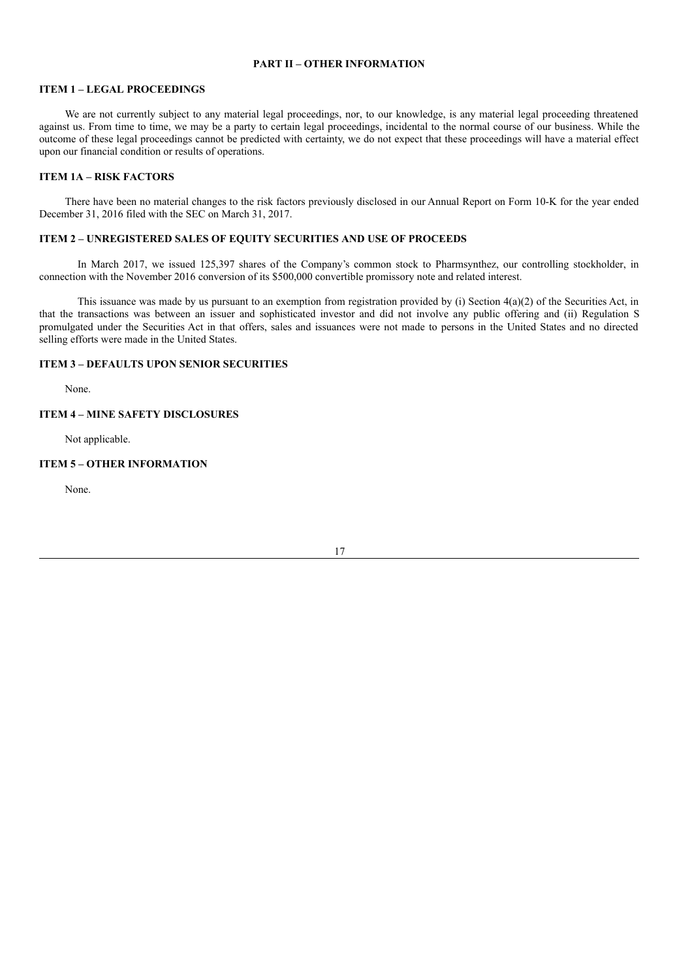# **PART II – OTHER INFORMATION**

# **ITEM 1 – LEGAL PROCEEDINGS**

We are not currently subject to any material legal proceedings, nor, to our knowledge, is any material legal proceeding threatened against us. From time to time, we may be a party to certain legal proceedings, incidental to the normal course of our business. While the outcome of these legal proceedings cannot be predicted with certainty, we do not expect that these proceedings will have a material effect upon our financial condition or results of operations.

# **ITEM 1A – RISK FACTORS**

There have been no material changes to the risk factors previously disclosed in our Annual Report on Form 10-K for the year ended December 31, 2016 filed with the SEC on March 31, 2017.

# **ITEM 2 – UNREGISTERED SALES OF EQUITY SECURITIES AND USE OF PROCEEDS**

In March 2017, we issued 125,397 shares of the Company's common stock to Pharmsynthez, our controlling stockholder, in connection with the November 2016 conversion of its \$500,000 convertible promissory note and related interest.

This issuance was made by us pursuant to an exemption from registration provided by (i) Section 4(a)(2) of the Securities Act, in that the transactions was between an issuer and sophisticated investor and did not involve any public offering and (ii) Regulation S promulgated under the Securities Act in that offers, sales and issuances were not made to persons in the United States and no directed selling efforts were made in the United States.

# **ITEM 3 – DEFAULTS UPON SENIOR SECURITIES**

None.

# **ITEM 4 – MINE SAFETY DISCLOSURES**

Not applicable.

# **ITEM 5 – OTHER INFORMATION**

None.

17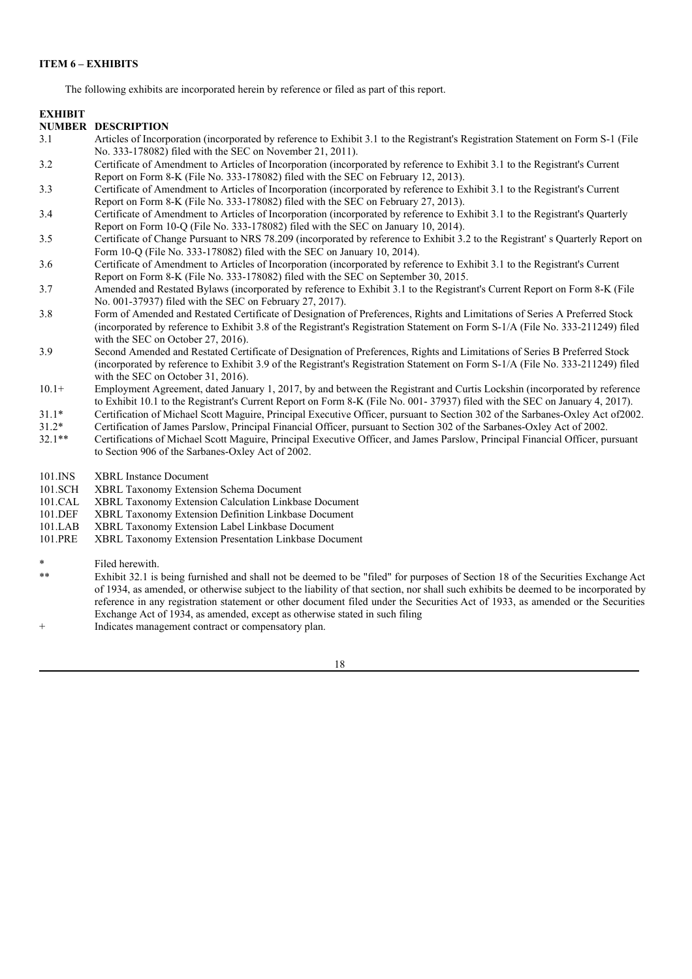# **ITEM 6 – EXHIBITS**

The following exhibits are incorporated herein by reference or filed as part of this report.

# **EXHIBIT**

# **NUMBER DESCRIPTION**

- 3.1 Articles of Incorporation (incorporated by reference to Exhibit 3.1 to the Registrant's Registration Statement on Form S-1 (File No. 333-178082) filed with the SEC on November 21, 2011).
- 3.2 Certificate of Amendment to Articles of Incorporation (incorporated by reference to Exhibit 3.1 to the Registrant's Current Report on Form 8-K (File No. 333-178082) filed with the SEC on February 12, 2013).
- 3.3 Certificate of Amendment to Articles of Incorporation (incorporated by reference to Exhibit 3.1 to the Registrant's Current Report on Form 8-K (File No. 333-178082) filed with the SEC on February 27, 2013).
- 3.4 Certificate of Amendment to Articles of Incorporation (incorporated by reference to Exhibit 3.1 to the Registrant's Quarterly Report on Form 10-Q (File No. 333-178082) filed with the SEC on January 10, 2014).
- 3.5 Certificate of Change Pursuant to NRS 78.209 (incorporated by reference to Exhibit 3.2 to the Registrant' s Quarterly Report on Form 10-Q (File No. 333-178082) filed with the SEC on January 10, 2014).
- 3.6 Certificate of Amendment to Articles of Incorporation (incorporated by reference to Exhibit 3.1 to the Registrant's Current Report on Form 8-K (File No. 333-178082) filed with the SEC on September 30, 2015.
- 3.7 Amended and Restated Bylaws (incorporated by reference to Exhibit 3.1 to the Registrant's Current Report on Form 8-K (File No. 001-37937) filed with the SEC on February 27, 2017).
- 3.8 Form of Amended and Restated Certificate of Designation of Preferences, Rights and Limitations of Series A Preferred Stock (incorporated by reference to Exhibit 3.8 of the Registrant's Registration Statement on Form S-1/A (File No. 333-211249) filed with the SEC on October 27, 2016).
- 3.9 Second Amended and Restated Certificate of Designation of Preferences, Rights and Limitations of Series B Preferred Stock (incorporated by reference to Exhibit 3.9 of the Registrant's Registration Statement on Form S-1/A (File No. 333-211249) filed with the SEC on October 31, 2016).
- 10.1+ Employment Agreement, dated January 1, 2017, by and between the Registrant and Curtis Lockshin (incorporated by reference to Exhibit 10.1 to the Registrant's Current Report on Form 8-K (File No. 001- 37937) filed with the SEC on January 4, 2017).
- 31.1\* Certification of Michael Scott Maguire, Principal Executive Officer, pursuant to Section 302 of the Sarbanes-Oxley Act of2002.
- 31.2\* Certification of James Parslow, Principal Financial Officer, pursuant to Section 302 of the Sarbanes-Oxley Act of 2002. 32.1\*\* Certifications of Michael Scott Maguire, Principal Executive Officer, and James Parslow, Principal Financial Officer, pursuant
- to Section 906 of the Sarbanes-Oxley Act of 2002.
- 101.INS XBRL Instance Document
- 101.SCH XBRL Taxonomy Extension Schema Document
- 101.CAL XBRL Taxonomy Extension Calculation Linkbase Document<br>101.DEF XBRL Taxonomy Extension Definition Linkbase Document
- 101.DEF XBRL Taxonomy Extension Definition Linkbase Document<br>101.LAB XBRL Taxonomy Extension Label Linkbase Document
- XBRL Taxonomy Extension Label Linkbase Document
- 101.PRE XBRL Taxonomy Extension Presentation Linkbase Document
- Filed herewith.
- \*\* Exhibit 32.1 is being furnished and shall not be deemed to be "filed" for purposes of Section 18 of the Securities Exchange Act of 1934, as amended, or otherwise subject to the liability of that section, nor shall such exhibits be deemed to be incorporated by reference in any registration statement or other document filed under the Securities Act of 1933, as amended or the Securities Exchange Act of 1934, as amended, except as otherwise stated in such filing
- Indicates management contract or compensatory plan.

18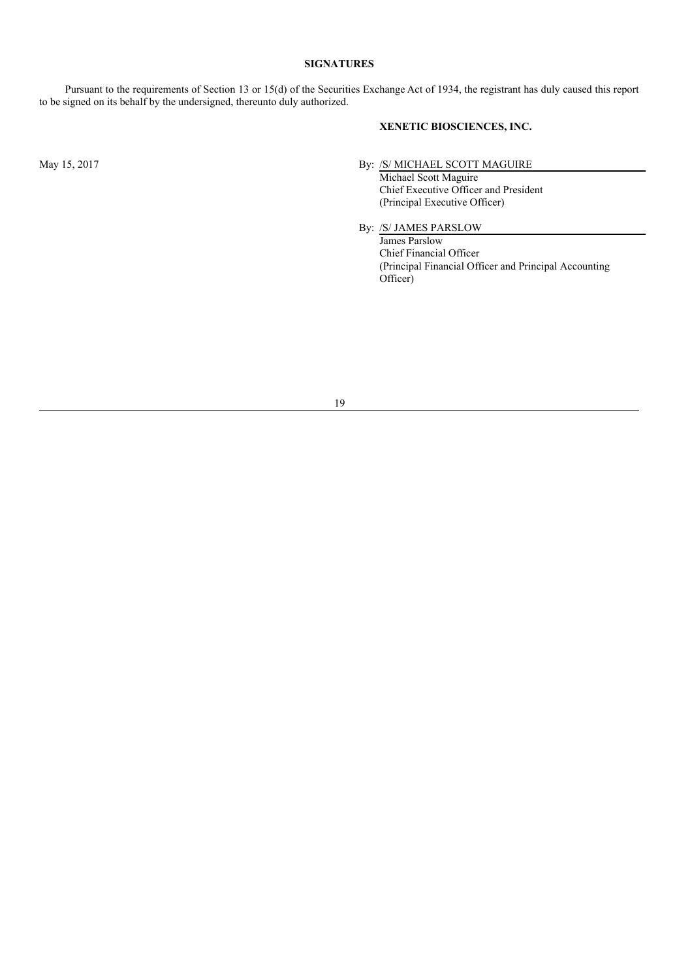# **SIGNATURES**

Pursuant to the requirements of Section 13 or 15(d) of the Securities Exchange Act of 1934, the registrant has duly caused this report to be signed on its behalf by the undersigned, thereunto duly authorized.

# **XENETIC BIOSCIENCES, INC.**

May 15, 2017 By: /S/ MICHAEL SCOTT MAGUIRE

Michael Scott Maguire Chief Executive Officer and President (Principal Executive Officer)

By: /S/ JAMES PARSLOW

James Parslow Chief Financial Officer (Principal Financial Officer and Principal Accounting Officer)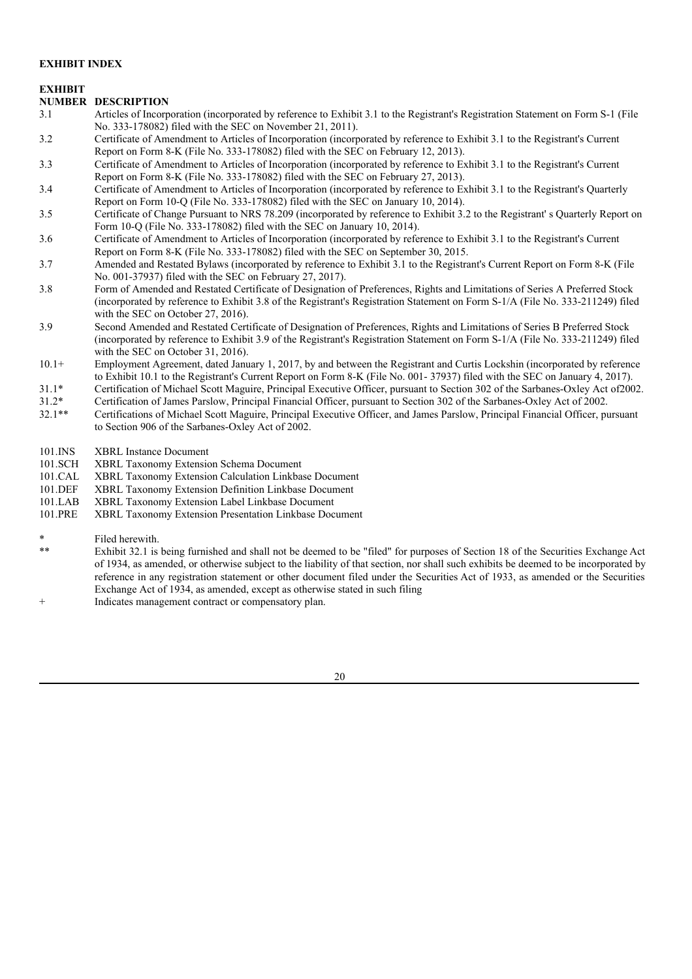## **EXHIBIT INDEX**

# **EXHIBIT**

# **NUMBER DESCRIPTION**

- 3.1 Articles of Incorporation (incorporated by reference to Exhibit 3.1 to the Registrant's Registration Statement on Form S-1 (File No. 333-178082) filed with the SEC on November 21, 2011).
- 3.2 Certificate of Amendment to Articles of Incorporation (incorporated by reference to Exhibit 3.1 to the Registrant's Current Report on Form 8-K (File No. 333-178082) filed with the SEC on February 12, 2013).
- 3.3 Certificate of Amendment to Articles of Incorporation (incorporated by reference to Exhibit 3.1 to the Registrant's Current Report on Form 8-K (File No. 333-178082) filed with the SEC on February 27, 2013).
- 3.4 Certificate of Amendment to Articles of Incorporation (incorporated by reference to Exhibit 3.1 to the Registrant's Quarterly Report on Form 10-Q (File No. 333-178082) filed with the SEC on January 10, 2014).
- 3.5 Certificate of Change Pursuant to NRS 78.209 (incorporated by reference to Exhibit 3.2 to the Registrant' s Quarterly Report on Form 10-Q (File No. 333-178082) filed with the SEC on January 10, 2014).
- 3.6 Certificate of Amendment to Articles of Incorporation (incorporated by reference to Exhibit 3.1 to the Registrant's Current Report on Form 8-K (File No. 333-178082) filed with the SEC on September 30, 2015.
- 3.7 Amended and Restated Bylaws (incorporated by reference to Exhibit 3.1 to the Registrant's Current Report on Form 8-K (File No. 001-37937) filed with the SEC on February 27, 2017).
- 3.8 Form of Amended and Restated Certificate of Designation of Preferences, Rights and Limitations of Series A Preferred Stock (incorporated by reference to Exhibit 3.8 of the Registrant's Registration Statement on Form S-1/A (File No. 333-211249) filed with the SEC on October 27, 2016).
- 3.9 Second Amended and Restated Certificate of Designation of Preferences, Rights and Limitations of Series B Preferred Stock (incorporated by reference to Exhibit 3.9 of the Registrant's Registration Statement on Form S-1/A (File No. 333-211249) filed with the SEC on October 31, 2016).
- 10.1+ Employment Agreement, dated January 1, 2017, by and between the Registrant and Curtis Lockshin (incorporated by reference to Exhibit 10.1 to the Registrant's Current Report on Form 8-K (File No. 001- 37937) filed with the SEC on January 4, 2017).
- 31.1\* Certification of Michael Scott Maguire, Principal Executive Officer, pursuant to Section 302 of the Sarbanes-Oxley Act of2002.
- 31.2\* Certification of James Parslow, Principal Financial Officer, pursuant to Section 302 of the Sarbanes-Oxley Act of 2002.
- 32.1\*\* Certifications of Michael Scott Maguire, Principal Executive Officer, and James Parslow, Principal Financial Officer, pursuant to Section 906 of the Sarbanes-Oxley Act of 2002.
- 101.INS XBRL Instance Document
- 101.SCH XBRL Taxonomy Extension Schema Document<br>101.CAL XBRL Taxonomy Extension Calculation Linkbas
- XBRL Taxonomy Extension Calculation Linkbase Document
- 101.DEF XBRL Taxonomy Extension Definition Linkbase Document
- 101.LAB XBRL Taxonomy Extension Label Linkbase Document<br>101.PRE XBRL Taxonomy Extension Presentation Linkbase Docu
- XBRL Taxonomy Extension Presentation Linkbase Document
- Filed herewith.
- \*\* Exhibit 32.1 is being furnished and shall not be deemed to be "filed" for purposes of Section 18 of the Securities Exchange Act of 1934, as amended, or otherwise subject to the liability of that section, nor shall such exhibits be deemed to be incorporated by reference in any registration statement or other document filed under the Securities Act of 1933, as amended or the Securities Exchange Act of 1934, as amended, except as otherwise stated in such filing
- + Indicates management contract or compensatory plan.

20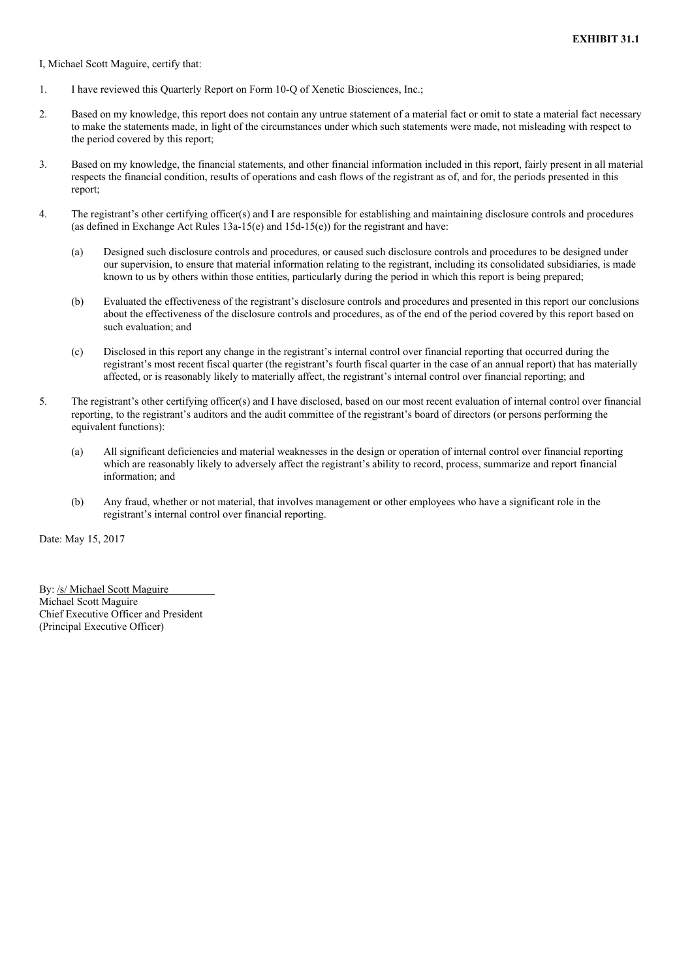I, Michael Scott Maguire, certify that:

- 1. I have reviewed this Quarterly Report on Form 10-Q of Xenetic Biosciences, Inc.;
- 2. Based on my knowledge, this report does not contain any untrue statement of a material fact or omit to state a material fact necessary to make the statements made, in light of the circumstances under which such statements were made, not misleading with respect to the period covered by this report;
- 3. Based on my knowledge, the financial statements, and other financial information included in this report, fairly present in all material respects the financial condition, results of operations and cash flows of the registrant as of, and for, the periods presented in this report;
- 4. The registrant's other certifying officer(s) and I are responsible for establishing and maintaining disclosure controls and procedures (as defined in Exchange Act Rules  $13a-15(e)$  and  $15d-15(e)$ ) for the registrant and have:
	- (a) Designed such disclosure controls and procedures, or caused such disclosure controls and procedures to be designed under our supervision, to ensure that material information relating to the registrant, including its consolidated subsidiaries, is made known to us by others within those entities, particularly during the period in which this report is being prepared;
	- (b) Evaluated the effectiveness of the registrant's disclosure controls and procedures and presented in this report our conclusions about the effectiveness of the disclosure controls and procedures, as of the end of the period covered by this report based on such evaluation; and
	- (c) Disclosed in this report any change in the registrant's internal control over financial reporting that occurred during the registrant's most recent fiscal quarter (the registrant's fourth fiscal quarter in the case of an annual report) that has materially affected, or is reasonably likely to materially affect, the registrant's internal control over financial reporting; and
- 5. The registrant's other certifying officer(s) and I have disclosed, based on our most recent evaluation of internal control over financial reporting, to the registrant's auditors and the audit committee of the registrant's board of directors (or persons performing the equivalent functions):
	- (a) All significant deficiencies and material weaknesses in the design or operation of internal control over financial reporting which are reasonably likely to adversely affect the registrant's ability to record, process, summarize and report financial information; and
	- (b) Any fraud, whether or not material, that involves management or other employees who have a significant role in the registrant's internal control over financial reporting.

Date: May 15, 2017

By: /s/ Michael Scott Maguire Michael Scott Maguire Chief Executive Officer and President (Principal Executive Officer)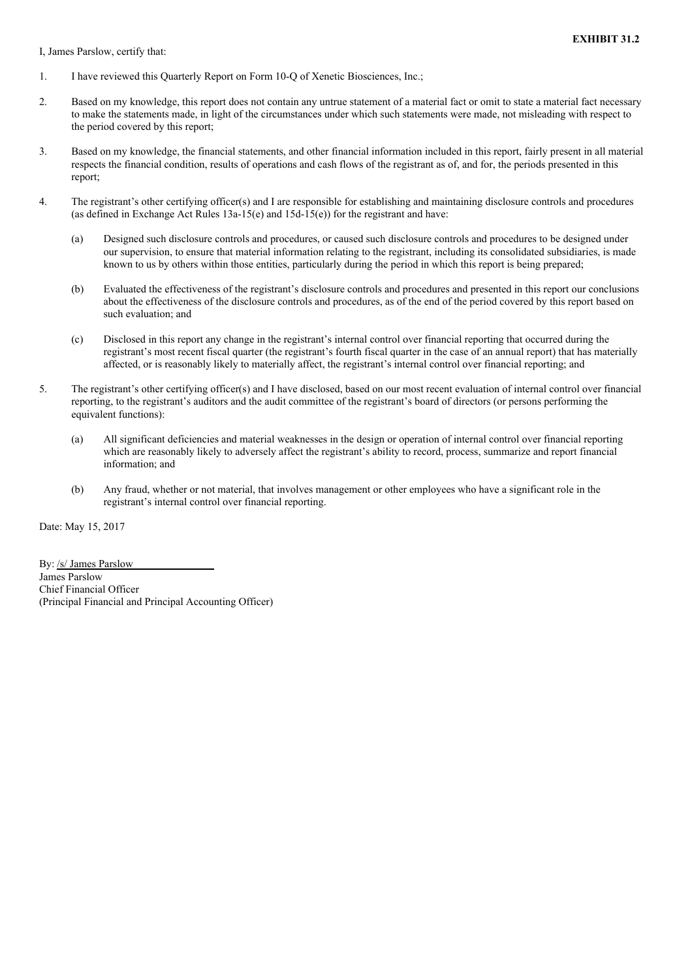I, James Parslow, certify that:

- 1. I have reviewed this Quarterly Report on Form 10-Q of Xenetic Biosciences, Inc.;
- 2. Based on my knowledge, this report does not contain any untrue statement of a material fact or omit to state a material fact necessary to make the statements made, in light of the circumstances under which such statements were made, not misleading with respect to the period covered by this report;
- 3. Based on my knowledge, the financial statements, and other financial information included in this report, fairly present in all material respects the financial condition, results of operations and cash flows of the registrant as of, and for, the periods presented in this report;
- 4. The registrant's other certifying officer(s) and I are responsible for establishing and maintaining disclosure controls and procedures (as defined in Exchange Act Rules 13a-15(e) and 15d-15(e)) for the registrant and have:
	- (a) Designed such disclosure controls and procedures, or caused such disclosure controls and procedures to be designed under our supervision, to ensure that material information relating to the registrant, including its consolidated subsidiaries, is made known to us by others within those entities, particularly during the period in which this report is being prepared;
	- (b) Evaluated the effectiveness of the registrant's disclosure controls and procedures and presented in this report our conclusions about the effectiveness of the disclosure controls and procedures, as of the end of the period covered by this report based on such evaluation; and
	- (c) Disclosed in this report any change in the registrant's internal control over financial reporting that occurred during the registrant's most recent fiscal quarter (the registrant's fourth fiscal quarter in the case of an annual report) that has materially affected, or is reasonably likely to materially affect, the registrant's internal control over financial reporting; and
- 5. The registrant's other certifying officer(s) and I have disclosed, based on our most recent evaluation of internal control over financial reporting, to the registrant's auditors and the audit committee of the registrant's board of directors (or persons performing the equivalent functions):
	- (a) All significant deficiencies and material weaknesses in the design or operation of internal control over financial reporting which are reasonably likely to adversely affect the registrant's ability to record, process, summarize and report financial information; and
	- (b) Any fraud, whether or not material, that involves management or other employees who have a significant role in the registrant's internal control over financial reporting.

Date: May 15, 2017

By: /s/ James Parslow James Parslow Chief Financial Officer (Principal Financial and Principal Accounting Officer)